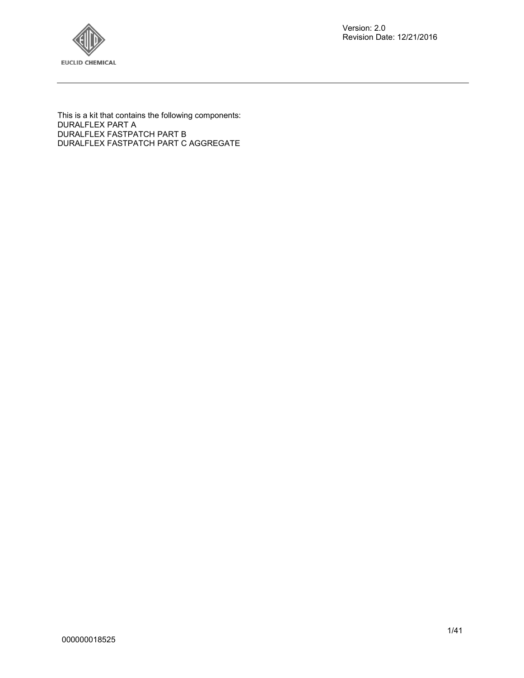

Version: 2.0 Revision Date: 12/21/2016

This is a kit that contains the following components: DURALFLEX PART A DURALFLEX FASTPATCH PART B DURALFLEX FASTPATCH PART C AGGREGATE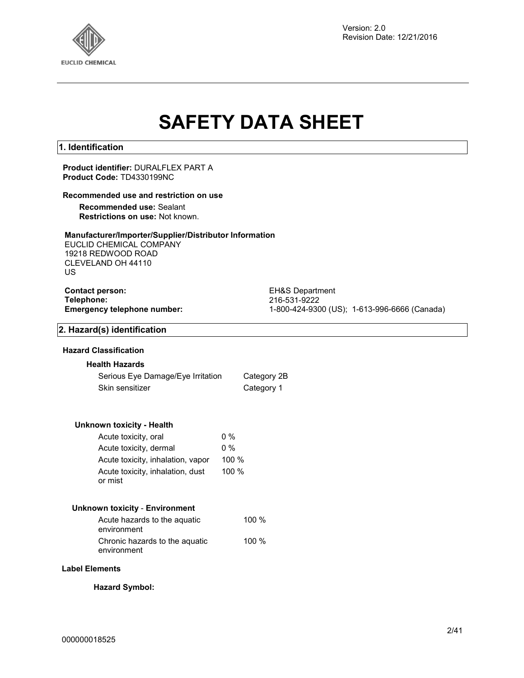

Version: 2.0 Revision Date: 12/21/2016

# **SAFETY DATA SHEET**

## **1. Identification**

**Product identifier:** DURALFLEX PART A **Product Code:** TD4330199NC

## **Recommended use and restriction on use**

**Recommended use:** Sealant **Restrictions on use:** Not known.

## **Manufacturer/Importer/Supplier/Distributor Information**

EUCLID CHEMICAL COMPANY 19218 REDWOOD ROAD CLEVELAND OH 44110 US

# **Contact person:** EH&S Department<br> **Telephone:** 216-531-9222

**Telephone:** 216-531-9222 **Emergency telephone number:** 1-800-424-9300 (US); 1-613-996-6666 (Canada)

## **2. Hazard(s) identification**

## **Hazard Classification**

#### **Health Hazards**

| Serious Eye Damage/Eye Irritation | Category 2B |
|-----------------------------------|-------------|
| Skin sensitizer                   | Category 1  |

#### **Unknown toxicity - Health**

| Acute toxicity, oral                        | $0\%$ |
|---------------------------------------------|-------|
| Acute toxicity, dermal                      | $0\%$ |
| Acute toxicity, inhalation, vapor           | 100 % |
| Acute toxicity, inhalation, dust<br>or mist | 100 % |

## **Unknown toxicity** - **Environment**

| Acute hazards to the aguatic<br>environment   | 100 $%$ |
|-----------------------------------------------|---------|
| Chronic hazards to the aquatic<br>environment | 100 $%$ |

#### **Label Elements**

**Hazard Symbol:**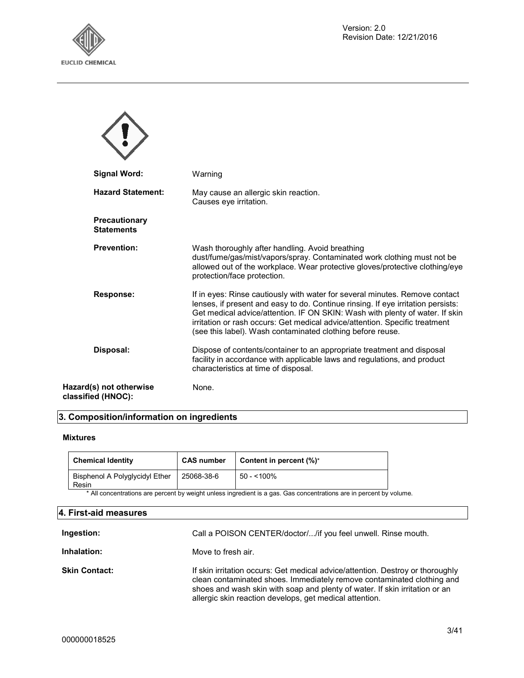



|                    | <b>Signal Word:</b>                | Warning                                                                                                                                                                                                                                                                                                                                                                                      |
|--------------------|------------------------------------|----------------------------------------------------------------------------------------------------------------------------------------------------------------------------------------------------------------------------------------------------------------------------------------------------------------------------------------------------------------------------------------------|
|                    | <b>Hazard Statement:</b>           | May cause an allergic skin reaction.<br>Causes eye irritation.                                                                                                                                                                                                                                                                                                                               |
|                    | Precautionary<br><b>Statements</b> |                                                                                                                                                                                                                                                                                                                                                                                              |
|                    | <b>Prevention:</b>                 | Wash thoroughly after handling. Avoid breathing<br>dust/fume/gas/mist/vapors/spray. Contaminated work clothing must not be<br>allowed out of the workplace. Wear protective gloves/protective clothing/eye<br>protection/face protection.                                                                                                                                                    |
|                    | <b>Response:</b>                   | If in eyes: Rinse cautiously with water for several minutes. Remove contact<br>lenses, if present and easy to do. Continue rinsing. If eye irritation persists:<br>Get medical advice/attention. IF ON SKIN: Wash with plenty of water. If skin<br>irritation or rash occurs: Get medical advice/attention. Specific treatment<br>(see this label). Wash contaminated clothing before reuse. |
|                    | Disposal:                          | Dispose of contents/container to an appropriate treatment and disposal<br>facility in accordance with applicable laws and regulations, and product<br>characteristics at time of disposal.                                                                                                                                                                                                   |
| classified (HNOC): | Hazard(s) not otherwise            | None.                                                                                                                                                                                                                                                                                                                                                                                        |

## **3. Composition/information on ingredients**

## **Mixtures**

| <b>Chemical Identity</b>                | <b>CAS number</b> | Content in percent $(\%)^*$ |
|-----------------------------------------|-------------------|-----------------------------|
| Bisphenol A Polyglycidyl Ether<br>Resin | 25068-38-6        | $50 - 100\%$                |

\* All concentrations are percent by weight unless ingredient is a gas. Gas concentrations are in percent by volume.

## **4. First-aid measures**

| Ingestion:           | Call a POISON CENTER/doctor//if you feel unwell. Rinse mouth.                                                                                                                                                                                                                                      |
|----------------------|----------------------------------------------------------------------------------------------------------------------------------------------------------------------------------------------------------------------------------------------------------------------------------------------------|
| Inhalation:          | Move to fresh air.                                                                                                                                                                                                                                                                                 |
| <b>Skin Contact:</b> | If skin irritation occurs: Get medical advice/attention. Destroy or thoroughly<br>clean contaminated shoes. Immediately remove contaminated clothing and<br>shoes and wash skin with soap and plenty of water. If skin irritation or an<br>allergic skin reaction develops, get medical attention. |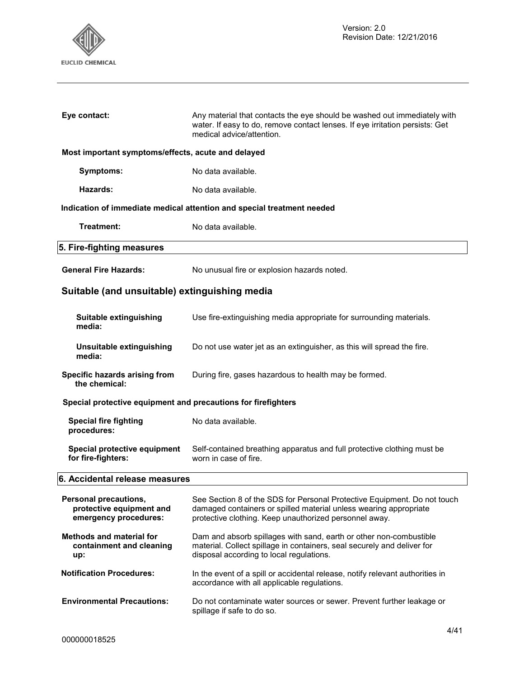

| Eye contact:                                       | Any material that contacts the eye should be washed out immediately with<br>water. If easy to do, remove contact lenses. If eye irritation persists: Get<br>medical advice/attention. |
|----------------------------------------------------|---------------------------------------------------------------------------------------------------------------------------------------------------------------------------------------|
| Most important symptoms/effects, acute and delayed |                                                                                                                                                                                       |
| Symptoms:                                          | No data available.                                                                                                                                                                    |
| Hazards:                                           | No data available.                                                                                                                                                                    |
|                                                    | Indication of immediate medical attention and special treatment needed                                                                                                                |
| Treatment:                                         | No data available.                                                                                                                                                                    |
| 5. Fire-fighting measures                          |                                                                                                                                                                                       |
| <b>General Fire Hazards:</b>                       | No unusual fire or explosion hazards noted.                                                                                                                                           |

## **Suitable (and unsuitable) extinguishing media**

| Suitable extinguishing<br>media:                                           | Use fire-extinguishing media appropriate for surrounding materials.                                                                                                                                     |
|----------------------------------------------------------------------------|---------------------------------------------------------------------------------------------------------------------------------------------------------------------------------------------------------|
| Unsuitable extinguishing<br>media:                                         | Do not use water jet as an extinguisher, as this will spread the fire.                                                                                                                                  |
| Specific hazards arising from<br>the chemical:                             | During fire, gases hazardous to health may be formed.                                                                                                                                                   |
| Special protective equipment and precautions for firefighters              |                                                                                                                                                                                                         |
| <b>Special fire fighting</b><br>procedures:                                | No data available.                                                                                                                                                                                      |
| Special protective equipment<br>for fire-fighters:                         | Self-contained breathing apparatus and full protective clothing must be<br>worn in case of fire.                                                                                                        |
|                                                                            |                                                                                                                                                                                                         |
| 6. Accidental release measures                                             |                                                                                                                                                                                                         |
| Personal precautions,<br>protective equipment and<br>emergency procedures: | See Section 8 of the SDS for Personal Protective Equipment. Do not touch<br>damaged containers or spilled material unless wearing appropriate<br>protective clothing. Keep unauthorized personnel away. |
| <b>Methods and material for</b><br>containment and cleaning<br>up:         | Dam and absorb spillages with sand, earth or other non-combustible<br>material. Collect spillage in containers, seal securely and deliver for<br>disposal according to local regulations.               |
| <b>Notification Procedures:</b>                                            | In the event of a spill or accidental release, notify relevant authorities in<br>accordance with all applicable regulations.                                                                            |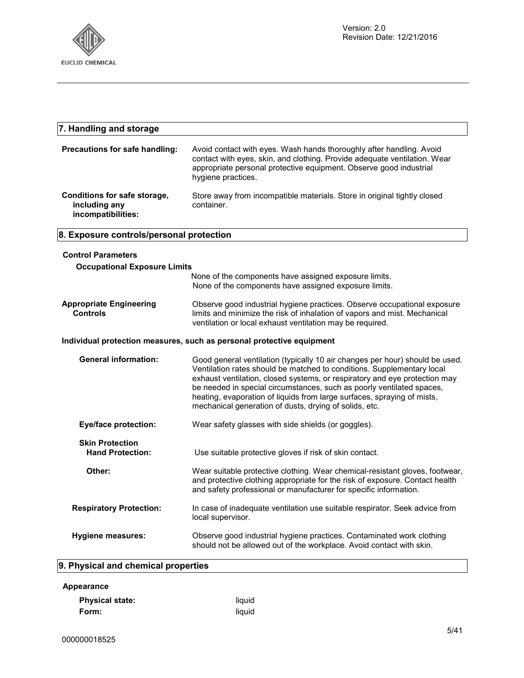

| 7. Handling and storage                                               |                                                                                                                                                                                                                                                                                                                                                                                                                                                    |  |
|-----------------------------------------------------------------------|----------------------------------------------------------------------------------------------------------------------------------------------------------------------------------------------------------------------------------------------------------------------------------------------------------------------------------------------------------------------------------------------------------------------------------------------------|--|
| Precautions for safe handling:                                        | Avoid contact with eyes. Wash hands thoroughly after handling. Avoid<br>contact with eyes, skin, and clothing. Provide adequate ventilation. Wear<br>appropriate personal protective equipment. Observe good industrial<br>hygiene practices.                                                                                                                                                                                                      |  |
| Conditions for safe storage,<br>including any<br>incompatibilities:   | Store away from incompatible materials. Store in original tightly closed<br>container.                                                                                                                                                                                                                                                                                                                                                             |  |
| 8. Exposure controls/personal protection                              |                                                                                                                                                                                                                                                                                                                                                                                                                                                    |  |
| <b>Control Parameters</b><br><b>Occupational Exposure Limits</b>      |                                                                                                                                                                                                                                                                                                                                                                                                                                                    |  |
|                                                                       | None of the components have assigned exposure limits.<br>None of the components have assigned exposure limits.                                                                                                                                                                                                                                                                                                                                     |  |
| <b>Appropriate Engineering</b><br><b>Controls</b>                     | Observe good industrial hygiene practices. Observe occupational exposure<br>limits and minimize the risk of inhalation of vapors and mist. Mechanical<br>ventilation or local exhaust ventilation may be required.                                                                                                                                                                                                                                 |  |
| Individual protection measures, such as personal protective equipment |                                                                                                                                                                                                                                                                                                                                                                                                                                                    |  |
| <b>General information:</b>                                           | Good general ventilation (typically 10 air changes per hour) should be used.<br>Ventilation rates should be matched to conditions. Supplementary local<br>exhaust ventilation, closed systems, or respiratory and eye protection may<br>be needed in special circumstances, such as poorly ventilated spaces,<br>heating, evaporation of liquids from large surfaces, spraying of mists,<br>mechanical generation of dusts, drying of solids, etc. |  |
| <b>Eye/face protection:</b>                                           | Wear safety glasses with side shields (or goggles).                                                                                                                                                                                                                                                                                                                                                                                                |  |
| <b>Skin Protection</b><br><b>Hand Protection:</b>                     | Use suitable protective gloves if risk of skin contact.                                                                                                                                                                                                                                                                                                                                                                                            |  |
| Other:                                                                | Wear suitable protective clothing. Wear chemical-resistant gloves, footwear,<br>and protective clothing appropriate for the risk of exposure. Contact health<br>and safety professional or manufacturer for specific information.                                                                                                                                                                                                                  |  |
| <b>Respiratory Protection:</b>                                        | In case of inadequate ventilation use suitable respirator. Seek advice from<br>local supervisor.                                                                                                                                                                                                                                                                                                                                                   |  |
| <b>Hygiene measures:</b>                                              | Observe good industrial hygiene practices. Contaminated work clothing<br>should not be allowed out of the workplace. Avoid contact with skin.                                                                                                                                                                                                                                                                                                      |  |
| 9. Physical and chemical properties                                   |                                                                                                                                                                                                                                                                                                                                                                                                                                                    |  |

## **Appearance**

| <b>Physical state:</b> | liauid |
|------------------------|--------|
| Form:                  | liquid |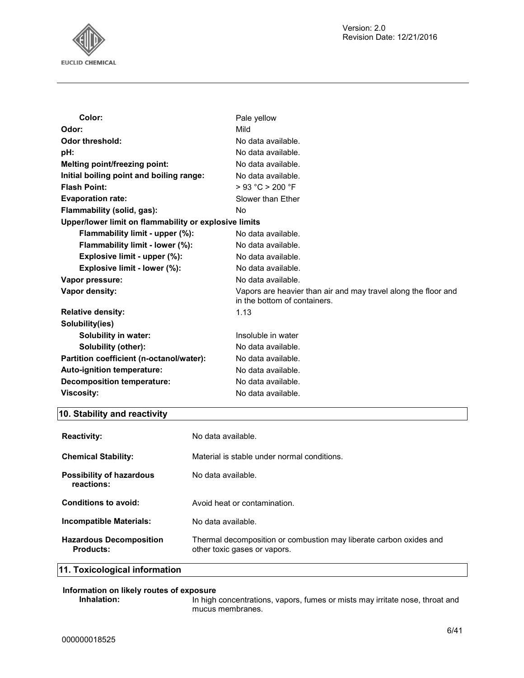

| Color:                                                | Pale yellow                                                                                    |
|-------------------------------------------------------|------------------------------------------------------------------------------------------------|
| Odor:                                                 | Mild                                                                                           |
| <b>Odor threshold:</b>                                | No data available.                                                                             |
| pH:                                                   | No data available.                                                                             |
| Melting point/freezing point:                         | No data available.                                                                             |
| Initial boiling point and boiling range:              | No data available.                                                                             |
| <b>Flash Point:</b>                                   | > 93 °C > 200 °F                                                                               |
| <b>Evaporation rate:</b>                              | Slower than Ether                                                                              |
| Flammability (solid, gas):                            | No.                                                                                            |
| Upper/lower limit on flammability or explosive limits |                                                                                                |
| Flammability limit - upper (%):                       | No data available.                                                                             |
| Flammability limit - lower (%):                       | No data available.                                                                             |
| Explosive limit - upper (%):                          | No data available.                                                                             |
| Explosive limit - lower (%):                          | No data available.                                                                             |
| Vapor pressure:                                       | No data available.                                                                             |
| Vapor density:                                        | Vapors are heavier than air and may travel along the floor and<br>in the bottom of containers. |
| <b>Relative density:</b>                              | 1.13                                                                                           |
| Solubility(ies)                                       |                                                                                                |
| Solubility in water:                                  | Insoluble in water                                                                             |
| Solubility (other):                                   | No data available.                                                                             |
| Partition coefficient (n-octanol/water):              | No data available.                                                                             |
| Auto-ignition temperature:                            | No data available.                                                                             |
| <b>Decomposition temperature:</b>                     | No data available.                                                                             |
| <b>Viscosity:</b>                                     | No data available.                                                                             |

## **10. Stability and reactivity**

| <b>Reactivity:</b>                          | No data available.                                                                                 |
|---------------------------------------------|----------------------------------------------------------------------------------------------------|
| <b>Chemical Stability:</b>                  | Material is stable under normal conditions.                                                        |
| Possibility of hazardous<br>reactions:      | No data available.                                                                                 |
| Conditions to avoid:                        | Avoid heat or contamination.                                                                       |
| Incompatible Materials:                     | No data available.                                                                                 |
| <b>Hazardous Decomposition</b><br>Products: | Thermal decomposition or combustion may liberate carbon oxides and<br>other toxic gases or vapors. |

**11. Toxicological information**

## **Information on likely routes of exposure**

In high concentrations, vapors, fumes or mists may irritate nose, throat and mucus membranes.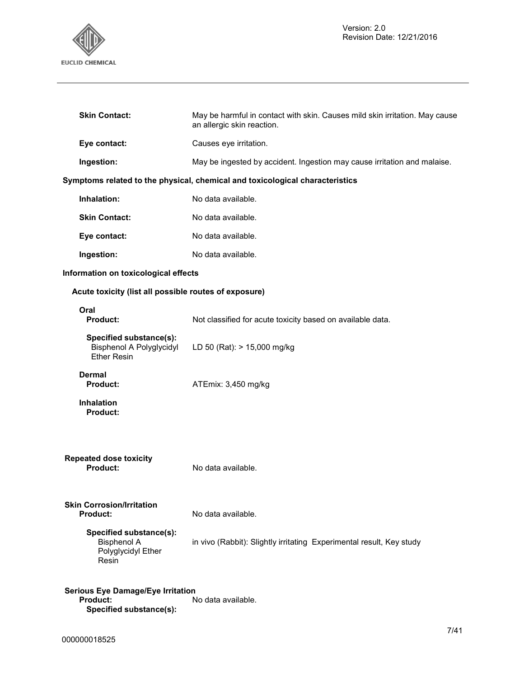

| <b>Skin Contact:</b>                                                                   | May be harmful in contact with skin. Causes mild skin irritation. May cause<br>an allergic skin reaction. |
|----------------------------------------------------------------------------------------|-----------------------------------------------------------------------------------------------------------|
| Eye contact:                                                                           | Causes eye irritation.                                                                                    |
| Ingestion:                                                                             | May be ingested by accident. Ingestion may cause irritation and malaise.                                  |
|                                                                                        | Symptoms related to the physical, chemical and toxicological characteristics                              |
| Inhalation:                                                                            | No data available.                                                                                        |
| <b>Skin Contact:</b>                                                                   | No data available.                                                                                        |
| Eye contact:                                                                           | No data available.                                                                                        |
| Ingestion:                                                                             | No data available.                                                                                        |
| Information on toxicological effects                                                   |                                                                                                           |
| Acute toxicity (list all possible routes of exposure)                                  |                                                                                                           |
| Oral<br>Product:                                                                       | Not classified for acute toxicity based on available data.                                                |
| Specified substance(s):<br><b>Bisphenol A Polyglycidyl</b><br><b>Ether Resin</b>       | LD 50 (Rat): > 15,000 mg/kg                                                                               |
| <b>Dermal</b><br><b>Product:</b>                                                       | ATEmix: 3,450 mg/kg                                                                                       |
| <b>Inhalation</b><br><b>Product:</b>                                                   |                                                                                                           |
| <b>Repeated dose toxicity</b><br><b>Product:</b>                                       | No data available.                                                                                        |
| <b>Skin Corrosion/Irritation</b><br><b>Product:</b>                                    | No data available.                                                                                        |
| Specified substance(s):<br><b>Bisphenol A</b><br>Polyglycidyl Ether<br>Resin           | in vivo (Rabbit): Slightly irritating Experimental result, Key study                                      |
| <b>Serious Eye Damage/Eye Irritation</b><br><b>Product:</b><br>Specified substance(s): | No data available.                                                                                        |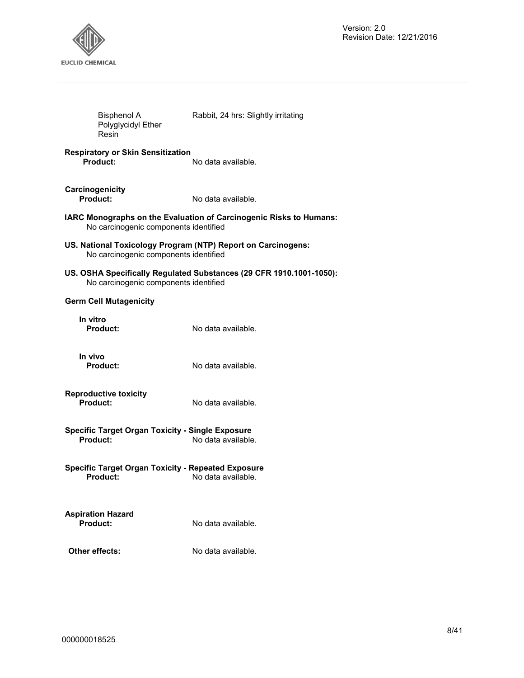

| <b>Bisphenol A</b><br>Polyglycidyl Ether<br>Resin                                                     | Rabbit, 24 hrs: Slightly irritating                                 |
|-------------------------------------------------------------------------------------------------------|---------------------------------------------------------------------|
| <b>Respiratory or Skin Sensitization</b><br>Product:                                                  | No data available.                                                  |
| Carcinogenicity<br>Product:                                                                           | No data available.                                                  |
| No carcinogenic components identified                                                                 | IARC Monographs on the Evaluation of Carcinogenic Risks to Humans:  |
| US. National Toxicology Program (NTP) Report on Carcinogens:<br>No carcinogenic components identified |                                                                     |
| No carcinogenic components identified                                                                 | US. OSHA Specifically Regulated Substances (29 CFR 1910.1001-1050): |
| <b>Germ Cell Mutagenicity</b>                                                                         |                                                                     |
| In vitro<br>Product:                                                                                  | No data available.                                                  |
| In vivo<br>Product:                                                                                   | No data available.                                                  |
| <b>Reproductive toxicity</b><br>Product:                                                              | No data available.                                                  |
| <b>Specific Target Organ Toxicity - Single Exposure</b><br><b>Product:</b>                            | No data available.                                                  |
| <b>Specific Target Organ Toxicity - Repeated Exposure</b><br>Product:                                 | No data available.                                                  |
| <b>Aspiration Hazard</b><br><b>Product:</b>                                                           | No data available.                                                  |
| Other effects:                                                                                        | No data available.                                                  |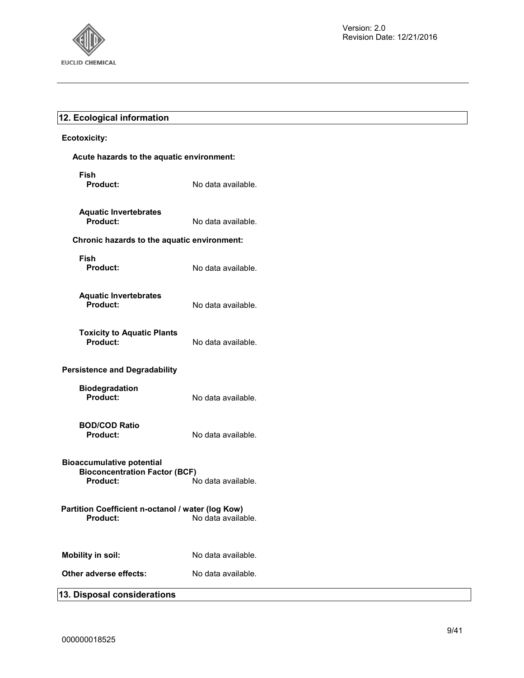

## **12. Ecological information**

## **Ecotoxicity:**

| Acute hazards to the aquatic environment:                                            |                    |
|--------------------------------------------------------------------------------------|--------------------|
| Fish<br><b>Product:</b>                                                              | No data available. |
| <b>Aquatic Invertebrates</b><br>Product:                                             | No data available. |
| Chronic hazards to the aquatic environment:                                          |                    |
| Fish<br><b>Product:</b>                                                              | No data available. |
| <b>Aquatic Invertebrates</b><br>Product:                                             | No data available. |
| <b>Toxicity to Aquatic Plants</b><br>Product:                                        | No data available. |
| <b>Persistence and Degradability</b>                                                 |                    |
| <b>Biodegradation</b><br>Product:                                                    | No data available. |
| <b>BOD/COD Ratio</b><br><b>Product:</b>                                              | No data available. |
| <b>Bioaccumulative potential</b><br><b>Bioconcentration Factor (BCF)</b><br>Product: | No data available. |
| Partition Coefficient n-octanol / water (log Kow)<br><b>Product:</b>                 | No data available. |
| <b>Mobility in soil:</b>                                                             | No data available. |
| Other adverse effects:                                                               | No data available. |
| 13. Disposal considerations                                                          |                    |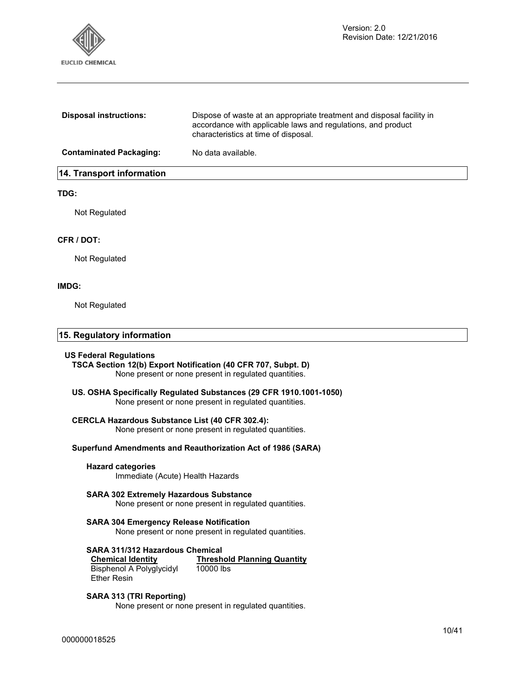

| <b>Disposal instructions:</b>  | Dispose of waste at an appropriate treatment and disposal facility in<br>accordance with applicable laws and regulations, and product<br>characteristics at time of disposal. |
|--------------------------------|-------------------------------------------------------------------------------------------------------------------------------------------------------------------------------|
| <b>Contaminated Packaging:</b> | No data available.                                                                                                                                                            |
| 14. Transport information      |                                                                                                                                                                               |

## **TDG:**

Not Regulated

## **CFR / DOT:**

Not Regulated

## **IMDG:**

Not Regulated

## **15. Regulatory information**

#### **US Federal Regulations**

**TSCA Section 12(b) Export Notification (40 CFR 707, Subpt. D)**  None present or none present in regulated quantities.

## **US. OSHA Specifically Regulated Substances (29 CFR 1910.1001-1050)**

None present or none present in regulated quantities.

#### **CERCLA Hazardous Substance List (40 CFR 302.4):**

None present or none present in regulated quantities.

## **Superfund Amendments and Reauthorization Act of 1986 (SARA)**

## **Hazard categories**

Immediate (Acute) Health Hazards

## **SARA 302 Extremely Hazardous Substance**

None present or none present in regulated quantities.

## **SARA 304 Emergency Release Notification**

None present or none present in regulated quantities.

## **SARA 311/312 Hazardous Chemical**

**Chemical Identity Threshold Planning Quantity** Bisphenol A Polyglycidyl Ether Resin 10000 lbs

## **SARA 313 (TRI Reporting)**

None present or none present in regulated quantities.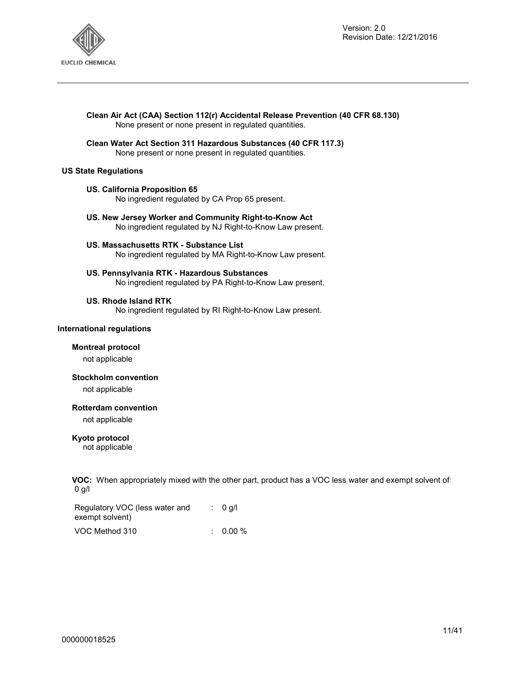

## **Clean Air Act (CAA) Section 112(r) Accidental Release Prevention (40 CFR 68.130)**  None present or none present in regulated quantities.

**Clean Water Act Section 311 Hazardous Substances (40 CFR 117.3)**  None present or none present in regulated quantities.

## **US State Regulations**

## **US. California Proposition 65**

No ingredient regulated by CA Prop 65 present.

- **US. New Jersey Worker and Community Right-to-Know Act**  No ingredient regulated by NJ Right-to-Know Law present.
- **US. Massachusetts RTK Substance List**  No ingredient regulated by MA Right-to-Know Law present.
- **US. Pennsylvania RTK Hazardous Substances**  No ingredient regulated by PA Right-to-Know Law present.

#### **US. Rhode Island RTK**

No ingredient regulated by RI Right-to-Know Law present.

#### **International regulations**

#### **Montreal protocol**

not applicable

#### **Stockholm convention**

not applicable

#### **Rotterdam convention**

not applicable

## **Kyoto protocol**

not applicable

**VOC:** When appropriately mixed with the other part, product has a VOC less water and exempt solvent of: 0 g/l

Regulatory VOC (less water and exempt solvent) : 0 g/l

| VOC Method 310 | $0.00\ \%$ |
|----------------|------------|
|                |            |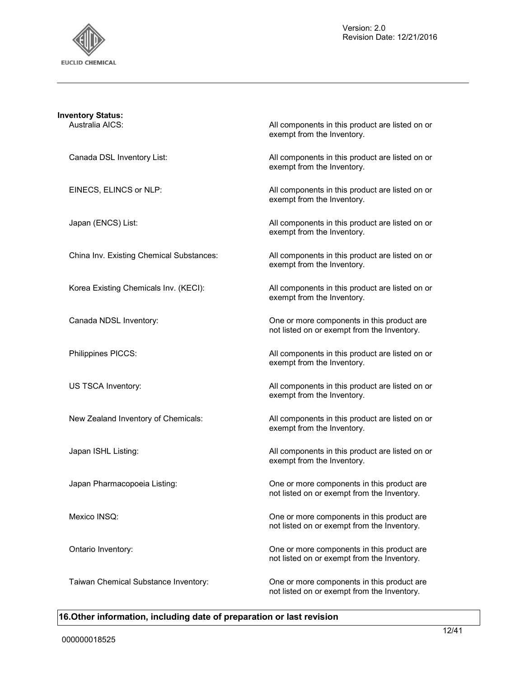

| <b>Inventory Status:</b>                 |                                                                                           |
|------------------------------------------|-------------------------------------------------------------------------------------------|
| Australia AICS:                          | All components in this product are listed on or<br>exempt from the Inventory.             |
| Canada DSL Inventory List:               | All components in this product are listed on or<br>exempt from the Inventory.             |
| EINECS, ELINCS or NLP:                   | All components in this product are listed on or<br>exempt from the Inventory.             |
| Japan (ENCS) List:                       | All components in this product are listed on or<br>exempt from the Inventory.             |
| China Inv. Existing Chemical Substances: | All components in this product are listed on or<br>exempt from the Inventory.             |
| Korea Existing Chemicals Inv. (KECI):    | All components in this product are listed on or<br>exempt from the Inventory.             |
| Canada NDSL Inventory:                   | One or more components in this product are<br>not listed on or exempt from the Inventory. |
| Philippines PICCS:                       | All components in this product are listed on or<br>exempt from the Inventory.             |
| US TSCA Inventory:                       | All components in this product are listed on or<br>exempt from the Inventory.             |
| New Zealand Inventory of Chemicals:      | All components in this product are listed on or<br>exempt from the Inventory.             |
| Japan ISHL Listing:                      | All components in this product are listed on or<br>exempt from the Inventory.             |
| Japan Pharmacopoeia Listing:             | One or more components in this product are<br>not listed on or exempt from the Inventory. |
| Mexico INSQ:                             | One or more components in this product are<br>not listed on or exempt from the Inventory. |
| Ontario Inventory:                       | One or more components in this product are<br>not listed on or exempt from the Inventory. |
| Taiwan Chemical Substance Inventory:     | One or more components in this product are<br>not listed on or exempt from the Inventory. |

## **16.Other information, including date of preparation or last revision**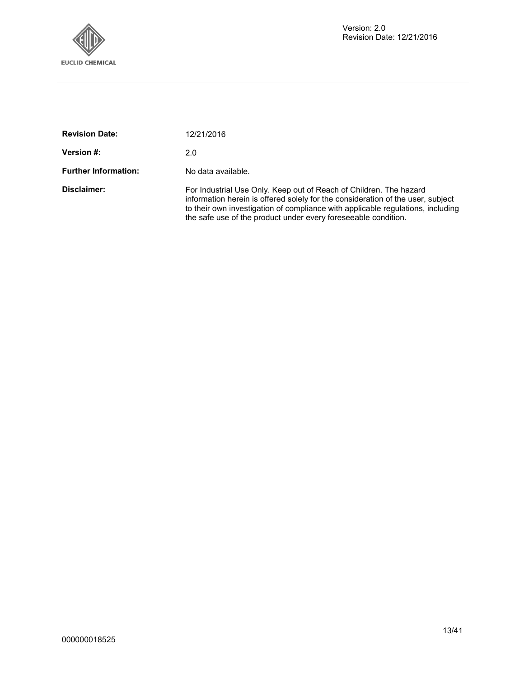

| <b>Revision Date:</b>       | 12/21/2016                                                                                                                                                                                                                                                                                                  |
|-----------------------------|-------------------------------------------------------------------------------------------------------------------------------------------------------------------------------------------------------------------------------------------------------------------------------------------------------------|
| Version #:                  | 2.0                                                                                                                                                                                                                                                                                                         |
| <b>Further Information:</b> | No data available.                                                                                                                                                                                                                                                                                          |
| Disclaimer:                 | For Industrial Use Only. Keep out of Reach of Children. The hazard<br>information herein is offered solely for the consideration of the user, subject<br>to their own investigation of compliance with applicable regulations, including<br>the safe use of the product under every fore seeable condition. |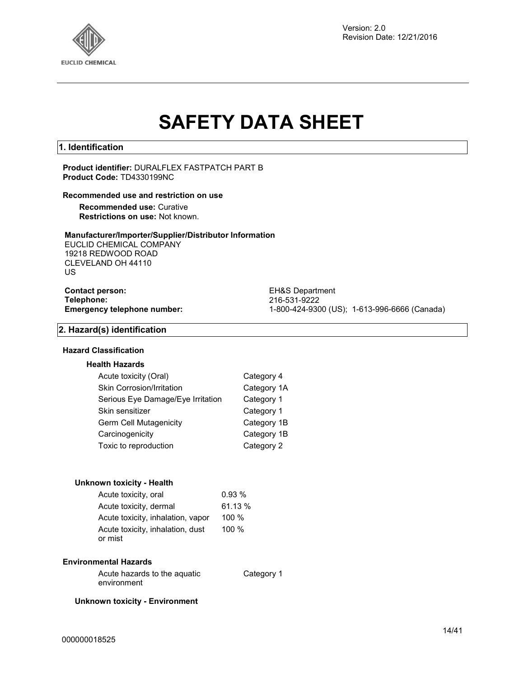

Version: 2.0 Revision Date: 12/21/2016

# **SAFETY DATA SHEET**

## **1. Identification**

**Product identifier:** DURALFLEX FASTPATCH PART B **Product Code:** TD4330199NC

#### **Recommended use and restriction on use**

**Recommended use:** Curative **Restrictions on use:** Not known.

## **Manufacturer/Importer/Supplier/Distributor Information**

EUCLID CHEMICAL COMPANY 19218 REDWOOD ROAD CLEVELAND OH 44110 US

# **Contact person:** EH&S Department<br> **Telephone:** 216-531-9222

**Telephone:** 216-531-9222 **Emergency telephone number:** 1-800-424-9300 (US); 1-613-996-6666 (Canada)

## **2. Hazard(s) identification**

#### **Hazard Classification**

## **Health Hazards**

| Category 4  |
|-------------|
| Category 1A |
| Category 1  |
| Category 1  |
| Category 1B |
| Category 1B |
| Category 2  |
|             |

#### **Unknown toxicity - Health**

| Acute toxicity, oral                        | 0.93%   |
|---------------------------------------------|---------|
| Acute toxicity, dermal                      | 61.13%  |
| Acute toxicity, inhalation, vapor           | 100 $%$ |
| Acute toxicity, inhalation, dust<br>or mist | 100%    |

#### **Environmental Hazards**

Acute hazards to the aquatic environment

Category 1

**Unknown toxicity - Environment**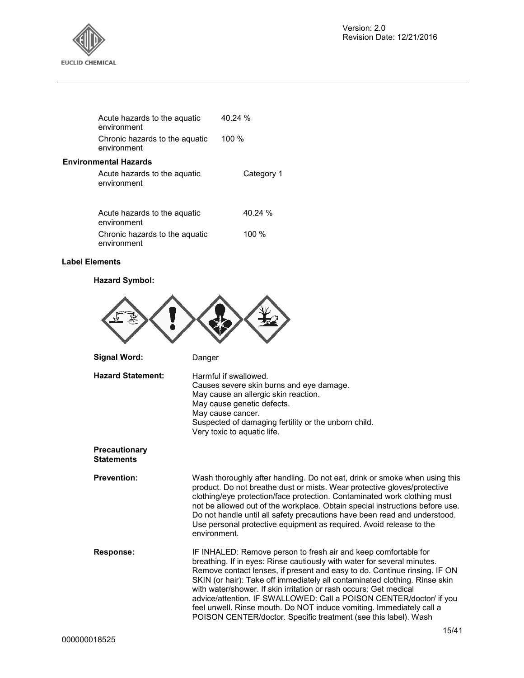

| Acute hazards to the aquatic<br>environment |                                | 40.24 %    |
|---------------------------------------------|--------------------------------|------------|
| environment                                 | Chronic hazards to the aguatic | 100 %      |
| <b>Environmental Hazards</b>                |                                |            |
| Acute hazards to the aquatic<br>environment |                                | Category 1 |
| A control compared to the concentration     |                                | 10.0101    |

| Acute hazards to the aquatic<br>environment | 40.24 % |
|---------------------------------------------|---------|
| Chronic hazards to the aquatic              | 100 $%$ |
| environment                                 |         |

## **Label Elements**

## **Hazard Symbol:**



| <b>Response:</b> | IF INHALED: Remove person to fresh air and keep comfortable for                                                                         |
|------------------|-----------------------------------------------------------------------------------------------------------------------------------------|
|                  | breathing. If in eyes: Rinse cautiously with water for several minutes.                                                                 |
|                  | Remove contact lenses, if present and easy to do. Continue rinsing. IF ON                                                               |
|                  | SKIN (or hair): Take off immediately all contaminated clothing. Rinse skin                                                              |
|                  | with water/shower. If skin irritation or rash occurs: Get medical                                                                       |
|                  | advice/attention. IF SWALLOWED: Call a POISON CENTER/doctor/ if you                                                                     |
|                  | feel unwell. Rinse mouth. Do NOT induce vomiting. Immediately call a<br>POISON CENTER/doctor. Specific treatment (see this label). Wash |
|                  |                                                                                                                                         |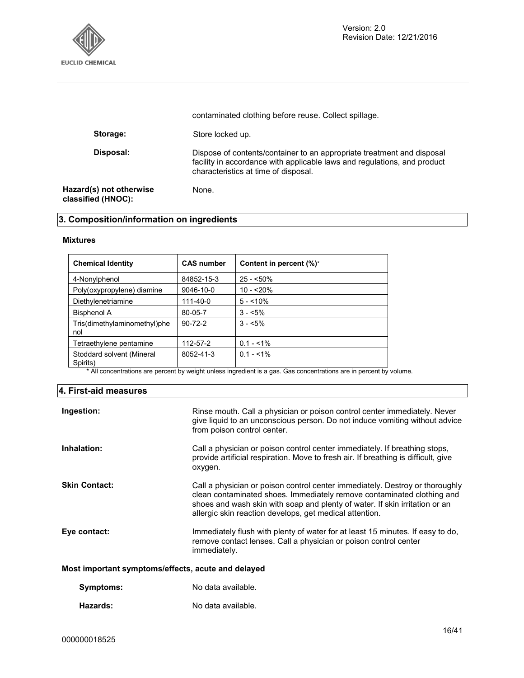

|                                               | contaminated clothing before reuse. Collect spillage.                                                                                                                                      |
|-----------------------------------------------|--------------------------------------------------------------------------------------------------------------------------------------------------------------------------------------------|
| Storage:                                      | Store locked up.                                                                                                                                                                           |
| Disposal:                                     | Dispose of contents/container to an appropriate treatment and disposal<br>facility in accordance with applicable laws and regulations, and product<br>characteristics at time of disposal. |
| Hazard(s) not otherwise<br>classified (HNOC): | None.                                                                                                                                                                                      |

## **3. Composition/information on ingredients**

## **Mixtures**

| <b>Chemical Identity</b>              | <b>CAS number</b> | Content in percent (%)* |
|---------------------------------------|-------------------|-------------------------|
| 4-Nonylphenol                         | 84852-15-3        | $25 - 50\%$             |
| Poly(oxypropylene) diamine            | $9046 - 10 - 0$   | $10 - 20%$              |
| Diethylenetriamine                    | 111-40-0          | $5 - 10\%$              |
| Bisphenol A                           | 80-05-7           | $3 - 5\%$               |
| Tris(dimethylaminomethyl)phe<br>nol   | $90 - 72 - 2$     | $3 - 5\%$               |
| Tetraethylene pentamine               | 112-57-2          | $0.1 - 1\%$             |
| Stoddard solvent (Mineral<br>Spirits) | 8052-41-3         | $0.1 - 1\%$             |

\* All concentrations are percent by weight unless ingredient is a gas. Gas concentrations are in percent by volume.

## **4. First-aid measures**

| Ingestion:                                         | Rinse mouth. Call a physician or poison control center immediately. Never<br>give liquid to an unconscious person. Do not induce vomiting without advice<br>from poison control center.                                                                                                          |  |
|----------------------------------------------------|--------------------------------------------------------------------------------------------------------------------------------------------------------------------------------------------------------------------------------------------------------------------------------------------------|--|
| Inhalation:                                        | Call a physician or poison control center immediately. If breathing stops,<br>provide artificial respiration. Move to fresh air. If breathing is difficult, give<br>oxygen.                                                                                                                      |  |
| <b>Skin Contact:</b>                               | Call a physician or poison control center immediately. Destroy or thoroughly<br>clean contaminated shoes. Immediately remove contaminated clothing and<br>shoes and wash skin with soap and plenty of water. If skin irritation or an<br>allergic skin reaction develops, get medical attention. |  |
| Eye contact:                                       | Immediately flush with plenty of water for at least 15 minutes. If easy to do,<br>remove contact lenses. Call a physician or poison control center<br>immediately.                                                                                                                               |  |
| Most important symptoms/effects, acute and delayed |                                                                                                                                                                                                                                                                                                  |  |

**Hazards:** No data available.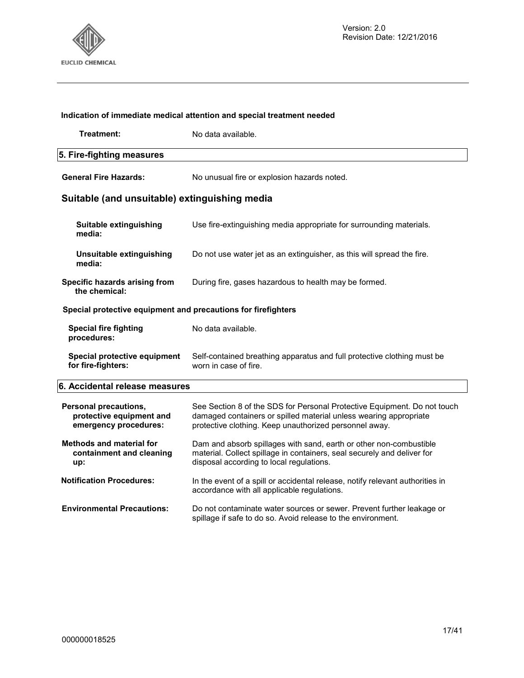

## **Treatment:** No data available **5. Fire-fighting measures General Fire Hazards:** No unusual fire or explosion hazards noted. **Suitable (and unsuitable) extinguishing media Suitable extinguishing media:** Use fire-extinguishing media appropriate for surrounding materials. **Unsuitable extinguishing media:**  Do not use water jet as an extinguisher, as this will spread the fire. **Specific hazards arising from the chemical:** During fire, gases hazardous to health may be formed. **Special protective equipment and precautions for firefighters Special fire fighting procedures:**  No data available. **Special protective equipment for fire-fighters:**  Self-contained breathing apparatus and full protective clothing must be worn in case of fire. **6. Accidental release measures Personal precautions, protective equipment and emergency procedures:**  See Section 8 of the SDS for Personal Protective Equipment. Do not touch damaged containers or spilled material unless wearing appropriate protective clothing. Keep unauthorized personnel away. **Methods and material for containment and cleaning up:**  Dam and absorb spillages with sand, earth or other non-combustible material. Collect spillage in containers, seal securely and deliver for disposal according to local regulations. **Notification Procedures:** In the event of a spill or accidental release, notify relevant authorities in accordance with all applicable regulations. **Environmental Precautions:** Do not contaminate water sources or sewer. Prevent further leakage or

spillage if safe to do so. Avoid release to the environment.

**Indication of immediate medical attention and special treatment needed**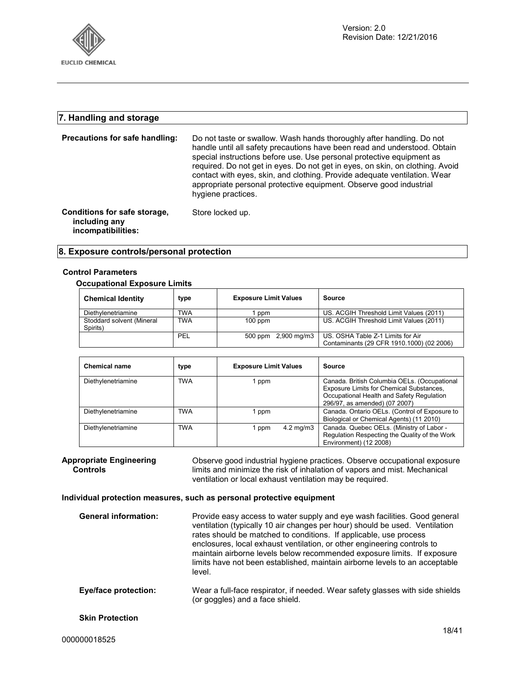

## **7. Handling and storage**

| Precautions for safe handling:                                      | Do not taste or swallow. Wash hands thoroughly after handling. Do not<br>handle until all safety precautions have been read and understood. Obtain<br>special instructions before use. Use personal protective equipment as<br>required. Do not get in eyes. Do not get in eyes, on skin, on clothing. Avoid<br>contact with eyes, skin, and clothing. Provide adequate ventilation. Wear<br>appropriate personal protective equipment. Observe good industrial<br>hygiene practices. |
|---------------------------------------------------------------------|---------------------------------------------------------------------------------------------------------------------------------------------------------------------------------------------------------------------------------------------------------------------------------------------------------------------------------------------------------------------------------------------------------------------------------------------------------------------------------------|
| Conditions for safe storage,<br>including any<br>incompatibilities: | Store locked up.                                                                                                                                                                                                                                                                                                                                                                                                                                                                      |

## **8. Exposure controls/personal protection**

## **Control Parameters**

## **Occupational Exposure Limits**

| <b>Chemical Identity</b>              | type       | <b>Exposure Limit Values</b> | Source                                                                         |
|---------------------------------------|------------|------------------------------|--------------------------------------------------------------------------------|
| Diethylenetriamine                    | TWA        | ppm                          | US. ACGIH Threshold Limit Values (2011)                                        |
| Stoddard solvent (Mineral<br>Spirits) | <b>TWA</b> | $100$ ppm                    | US. ACGIH Threshold Limit Values (2011)                                        |
|                                       | PEL        | 500 ppm 2,900 mg/m3          | US. OSHA Table Z-1 Limits for Air<br>Contaminants (29 CFR 1910.1000) (02 2006) |

| <b>Chemical name</b> | type       | <b>Exposure Limit Values</b>  | Source                                                                                                                                                                 |
|----------------------|------------|-------------------------------|------------------------------------------------------------------------------------------------------------------------------------------------------------------------|
| Diethylenetriamine   | TWA        | l ppm                         | Canada. British Columbia OELs. (Occupational<br>Exposure Limits for Chemical Substances,<br>Occupational Health and Safety Regulation<br>296/97, as amended) (07 2007) |
| Diethylenetriamine   | TWA        | l ppm                         | Canada. Ontario OELs. (Control of Exposure to<br>Biological or Chemical Agents) (11 2010)                                                                              |
| Diethylenetriamine   | <b>TWA</b> | $4.2 \text{ mg/m}$ 3<br>1 ppm | Canada. Quebec OELs. (Ministry of Labor -<br>Regulation Respecting the Quality of the Work<br>Environment) (12 2008)                                                   |

**Appropriate Engineering Controls**  Observe good industrial hygiene practices. Observe occupational exposure limits and minimize the risk of inhalation of vapors and mist. Mechanical ventilation or local exhaust ventilation may be required.

## **Individual protection measures, such as personal protective equipment**

| <b>General information:</b> | Provide easy access to water supply and eye wash facilities. Good general<br>ventilation (typically 10 air changes per hour) should be used. Ventilation<br>rates should be matched to conditions. If applicable, use process<br>enclosures, local exhaust ventilation, or other engineering controls to<br>maintain airborne levels below recommended exposure limits. If exposure<br>limits have not been established, maintain airborne levels to an acceptable<br>level. |
|-----------------------------|------------------------------------------------------------------------------------------------------------------------------------------------------------------------------------------------------------------------------------------------------------------------------------------------------------------------------------------------------------------------------------------------------------------------------------------------------------------------------|
| <b>Eye/face protection:</b> | Wear a full-face respirator, if needed. Wear safety glasses with side shields<br>(or goggles) and a face shield.                                                                                                                                                                                                                                                                                                                                                             |
| <b>Skin Protection</b>      |                                                                                                                                                                                                                                                                                                                                                                                                                                                                              |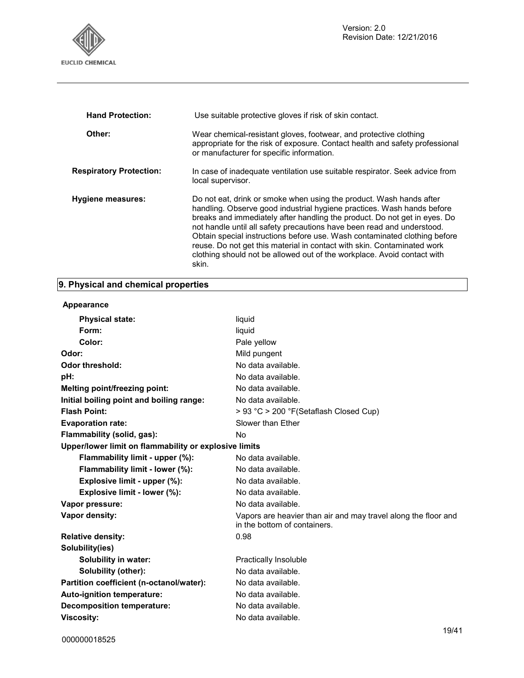

| <b>Hand Protection:</b>        | Use suitable protective gloves if risk of skin contact.                                                                                                                                                                                                                                                                                                                                                                                                                                                                                          |
|--------------------------------|--------------------------------------------------------------------------------------------------------------------------------------------------------------------------------------------------------------------------------------------------------------------------------------------------------------------------------------------------------------------------------------------------------------------------------------------------------------------------------------------------------------------------------------------------|
| Other:                         | Wear chemical-resistant gloves, footwear, and protective clothing<br>appropriate for the risk of exposure. Contact health and safety professional<br>or manufacturer for specific information.                                                                                                                                                                                                                                                                                                                                                   |
| <b>Respiratory Protection:</b> | In case of inadequate ventilation use suitable respirator. Seek advice from<br>local supervisor.                                                                                                                                                                                                                                                                                                                                                                                                                                                 |
| <b>Hygiene measures:</b>       | Do not eat, drink or smoke when using the product. Wash hands after<br>handling. Observe good industrial hygiene practices. Wash hands before<br>breaks and immediately after handling the product. Do not get in eyes. Do<br>not handle until all safety precautions have been read and understood.<br>Obtain special instructions before use. Wash contaminated clothing before<br>reuse. Do not get this material in contact with skin. Contaminated work<br>clothing should not be allowed out of the workplace. Avoid contact with<br>skin. |

## **9. Physical and chemical properties**

## **Appearance**

| <b>Physical state:</b>                                | liquid                                                                                         |
|-------------------------------------------------------|------------------------------------------------------------------------------------------------|
| Form:                                                 | liquid                                                                                         |
| Color:                                                | Pale yellow                                                                                    |
| Odor:                                                 | Mild pungent                                                                                   |
| <b>Odor threshold:</b>                                | No data available.                                                                             |
| pH:                                                   | No data available.                                                                             |
| Melting point/freezing point:                         | No data available.                                                                             |
| Initial boiling point and boiling range:              | No data available.                                                                             |
| <b>Flash Point:</b>                                   | > 93 °C > 200 °F(Setaflash Closed Cup)                                                         |
| <b>Evaporation rate:</b>                              | Slower than Ether                                                                              |
| Flammability (solid, gas):                            | No.                                                                                            |
| Upper/lower limit on flammability or explosive limits |                                                                                                |
| Flammability limit - upper (%):                       | No data available.                                                                             |
| Flammability limit - lower (%):                       | No data available.                                                                             |
| Explosive limit - upper (%):                          | No data available.                                                                             |
| Explosive limit - lower (%):                          | No data available.                                                                             |
| Vapor pressure:                                       | No data available.                                                                             |
| Vapor density:                                        | Vapors are heavier than air and may travel along the floor and<br>in the bottom of containers. |
| <b>Relative density:</b>                              | 0.98                                                                                           |
| Solubility(ies)                                       |                                                                                                |
| <b>Solubility in water:</b>                           | Practically Insoluble                                                                          |
| Solubility (other):                                   | No data available.                                                                             |
| Partition coefficient (n-octanol/water):              | No data available.                                                                             |
| Auto-ignition temperature:                            | No data available.                                                                             |
| <b>Decomposition temperature:</b>                     | No data available.                                                                             |
| <b>Viscosity:</b>                                     | No data available.                                                                             |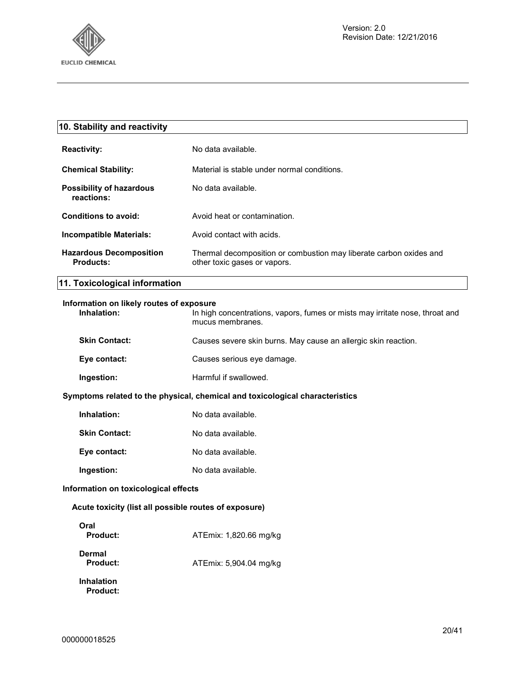

| 10. Stability and reactivity                                                                                                                                |                                                                                                    |
|-------------------------------------------------------------------------------------------------------------------------------------------------------------|----------------------------------------------------------------------------------------------------|
| <b>Reactivity:</b>                                                                                                                                          | No data available.                                                                                 |
| <b>Chemical Stability:</b>                                                                                                                                  | Material is stable under normal conditions.                                                        |
| <b>Possibility of hazardous</b><br>reactions:                                                                                                               | No data available.                                                                                 |
| Conditions to avoid:                                                                                                                                        | Avoid heat or contamination.                                                                       |
| Incompatible Materials:                                                                                                                                     | Avoid contact with acids.                                                                          |
| <b>Hazardous Decomposition</b><br><b>Products:</b>                                                                                                          | Thermal decomposition or combustion may liberate carbon oxides and<br>other toxic gases or vapors. |
| 11. Toxicological information                                                                                                                               |                                                                                                    |
| Information on likely routes of exposure<br>Inhalation:<br>In high concentrations, vapors, fumes or mists may irritate nose, throat and<br>mucus membranes. |                                                                                                    |
| <b>Skin Contact:</b>                                                                                                                                        | Causes severe skin burns. May cause an allergic skin reaction.                                     |
| Eye contact:                                                                                                                                                | Causes serious eye damage.                                                                         |

**Ingestion:** Harmful if swallowed.

## **Symptoms related to the physical, chemical and toxicological characteristics**

| Inhalation:          | No data available. |
|----------------------|--------------------|
| <b>Skin Contact:</b> | No data available. |
| Eye contact:         | No data available. |
| Ingestion:           | No data available. |

## **Information on toxicological effects**

## **Acute toxicity (list all possible routes of exposure)**

| Oral<br>Product:                     | ATEmix: 1,820.66 mg/kg |
|--------------------------------------|------------------------|
| Dermal<br>Product:                   | ATEmix: 5,904.04 mg/kg |
| <b>Inhalation</b><br><b>Product:</b> |                        |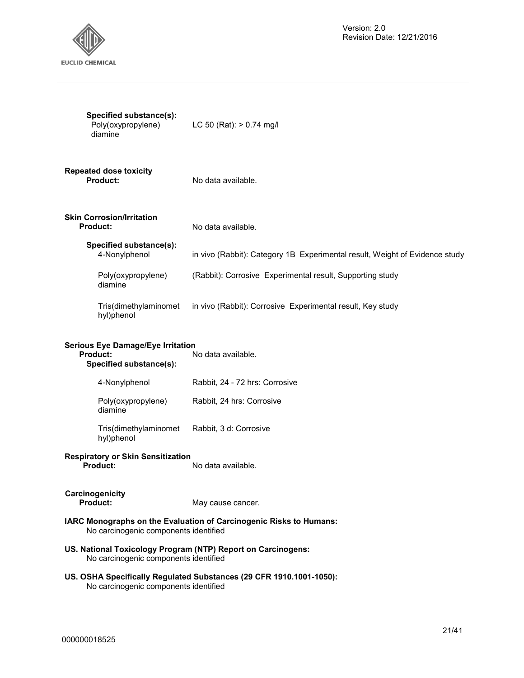

| Specified substance(s):<br>Poly(oxypropylene)<br>diamine                                                     | LC 50 (Rat): $> 0.74$ mg/l                                                  |  |
|--------------------------------------------------------------------------------------------------------------|-----------------------------------------------------------------------------|--|
| <b>Repeated dose toxicity</b><br>Product:                                                                    | No data available.                                                          |  |
| <b>Skin Corrosion/Irritation</b><br><b>Product:</b>                                                          | No data available.                                                          |  |
| Specified substance(s):<br>4-Nonylphenol                                                                     | in vivo (Rabbit): Category 1B Experimental result, Weight of Evidence study |  |
| Poly(oxypropylene)<br>diamine                                                                                | (Rabbit): Corrosive Experimental result, Supporting study                   |  |
| Tris(dimethylaminomet<br>hyl)phenol                                                                          | in vivo (Rabbit): Corrosive Experimental result, Key study                  |  |
| <b>Serious Eye Damage/Eye Irritation</b><br><b>Product:</b><br>No data available.<br>Specified substance(s): |                                                                             |  |
| 4-Nonylphenol                                                                                                | Rabbit, 24 - 72 hrs: Corrosive                                              |  |
| Poly(oxypropylene)<br>diamine                                                                                | Rabbit, 24 hrs: Corrosive                                                   |  |
| Tris(dimethylaminomet<br>hyl)phenol                                                                          | Rabbit, 3 d: Corrosive                                                      |  |
| <b>Respiratory or Skin Sensitization</b><br>Product:                                                         | No data available.                                                          |  |
| Carcinogenicity<br><b>Product:</b>                                                                           | May cause cancer.                                                           |  |
| No carcinogenic components identified                                                                        | IARC Monographs on the Evaluation of Carcinogenic Risks to Humans:          |  |
| US. National Toxicology Program (NTP) Report on Carcinogens:<br>No carcinogenic components identified        |                                                                             |  |
|                                                                                                              | US. OSHA Specifically Regulated Substances (29 CFR 1910.1001-1050):         |  |

No carcinogenic components identified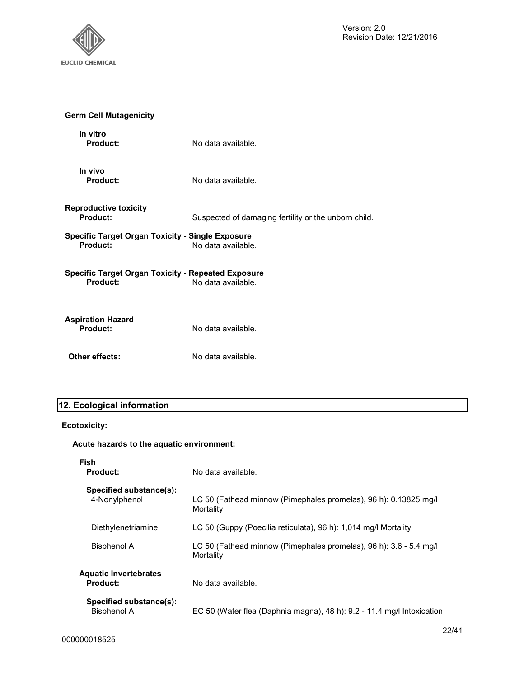

| <b>Germ Cell Mutagenicity</b>                                                                      |                                                      |  |
|----------------------------------------------------------------------------------------------------|------------------------------------------------------|--|
| In vitro<br><b>Product:</b>                                                                        | No data available.                                   |  |
| In vivo<br>Product:                                                                                | No data available.                                   |  |
| <b>Reproductive toxicity</b><br>Product:                                                           | Suspected of damaging fertility or the unborn child. |  |
| <b>Specific Target Organ Toxicity - Single Exposure</b><br>Product:<br>No data available.          |                                                      |  |
| <b>Specific Target Organ Toxicity - Repeated Exposure</b><br><b>Product:</b><br>No data available. |                                                      |  |
| <b>Aspiration Hazard</b><br>Product:                                                               | No data available.                                   |  |
| Other effects:                                                                                     | No data available.                                   |  |

## **12. Ecological information**

## **Ecotoxicity:**

## **Acute hazards to the aquatic environment:**

**Fish** 

| <b>Product:</b>                                 | No data available.                                                              |
|-------------------------------------------------|---------------------------------------------------------------------------------|
| Specified substance(s):<br>4-Nonylphenol        | LC 50 (Fathead minnow (Pimephales promelas), 96 h): 0.13825 mg/l<br>Mortality   |
| Diethylenetriamine                              | LC 50 (Guppy (Poecilia reticulata), 96 h): 1,014 mg/l Mortality                 |
| <b>Bisphenol A</b>                              | LC 50 (Fathead minnow (Pimephales promelas), 96 h): 3.6 - 5.4 mg/l<br>Mortality |
| <b>Aquatic Invertebrates</b><br><b>Product:</b> | No data available.                                                              |
| Specified substance(s):<br><b>Bisphenol A</b>   | EC 50 (Water flea (Daphnia magna), 48 h): 9.2 - 11.4 mg/l Intoxication          |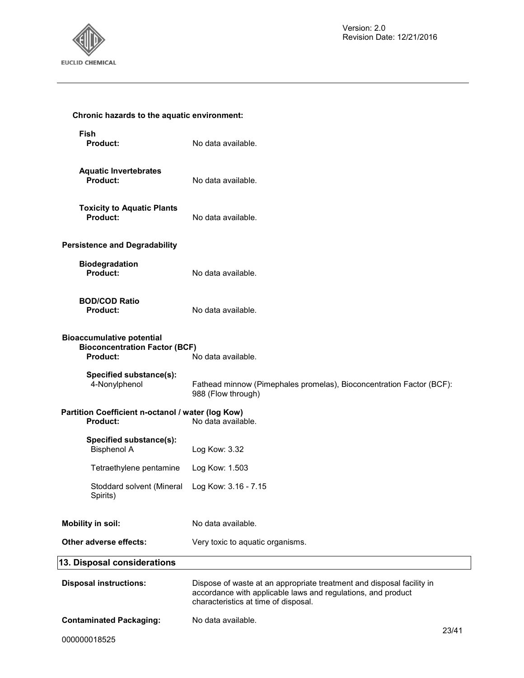

| Chronic hazards to the aquatic environment:                                                                       |                                                                                                                                                                               |  |
|-------------------------------------------------------------------------------------------------------------------|-------------------------------------------------------------------------------------------------------------------------------------------------------------------------------|--|
| <b>Fish</b><br>Product:                                                                                           | No data available.                                                                                                                                                            |  |
| <b>Aquatic Invertebrates</b><br><b>Product:</b>                                                                   | No data available.                                                                                                                                                            |  |
| <b>Toxicity to Aquatic Plants</b><br><b>Product:</b>                                                              | No data available.                                                                                                                                                            |  |
| <b>Persistence and Degradability</b>                                                                              |                                                                                                                                                                               |  |
| <b>Biodegradation</b><br><b>Product:</b>                                                                          | No data available.                                                                                                                                                            |  |
| <b>BOD/COD Ratio</b><br>Product:                                                                                  | No data available.                                                                                                                                                            |  |
| <b>Bioaccumulative potential</b><br><b>Bioconcentration Factor (BCF)</b><br><b>Product:</b><br>No data available. |                                                                                                                                                                               |  |
| Specified substance(s):<br>4-Nonylphenol                                                                          | Fathead minnow (Pimephales promelas), Bioconcentration Factor (BCF):<br>988 (Flow through)                                                                                    |  |
| Partition Coefficient n-octanol / water (log Kow)<br><b>Product:</b><br>No data available.                        |                                                                                                                                                                               |  |
| Specified substance(s):<br><b>Bisphenol A</b>                                                                     | Log Kow: 3.32                                                                                                                                                                 |  |
| Tetraethylene pentamine                                                                                           | Log Kow: 1.503                                                                                                                                                                |  |
| Stoddard solvent (Mineral<br>Spirits)                                                                             | Log Kow: 3.16 - 7.15                                                                                                                                                          |  |
| <b>Mobility in soil:</b>                                                                                          | No data available.                                                                                                                                                            |  |
| Other adverse effects:                                                                                            | Very toxic to aquatic organisms.                                                                                                                                              |  |
| 13. Disposal considerations                                                                                       |                                                                                                                                                                               |  |
| <b>Disposal instructions:</b>                                                                                     | Dispose of waste at an appropriate treatment and disposal facility in<br>accordance with applicable laws and regulations, and product<br>characteristics at time of disposal. |  |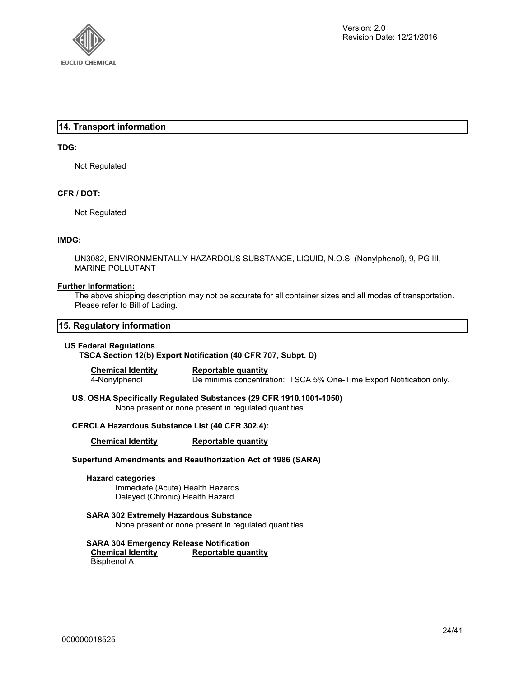

## **14. Transport information**

## **TDG:**

Not Regulated

## **CFR / DOT:**

Not Regulated

## **IMDG:**

UN3082, ENVIRONMENTALLY HAZARDOUS SUBSTANCE, LIQUID, N.O.S. (Nonylphenol), 9, PG III, MARINE POLLUTANT

## **Further Information:**

The above shipping description may not be accurate for all container sizes and all modes of transportation. Please refer to Bill of Lading.

## **15. Regulatory information**

## **US Federal Regulations**

**TSCA Section 12(b) Export Notification (40 CFR 707, Subpt. D)** 

**Chemical Identity Reportable quantity** 

4-Nonylphenol De minimis concentration: TSCA 5% One-Time Export Notification only.

**US. OSHA Specifically Regulated Substances (29 CFR 1910.1001-1050)**  None present or none present in regulated quantities.

## **CERCLA Hazardous Substance List (40 CFR 302.4):**

**Chemical Identity Reportable quantity** 

## **Superfund Amendments and Reauthorization Act of 1986 (SARA)**

## **Hazard categories**

Immediate (Acute) Health Hazards Delayed (Chronic) Health Hazard

## **SARA 302 Extremely Hazardous Substance**

None present or none present in regulated quantities.

**SARA 304 Emergency Release Notification Reportable quantity** Bisphenol A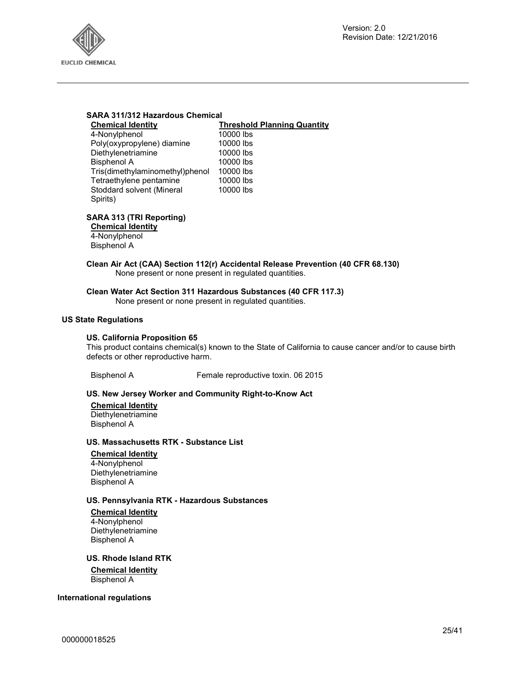

## **SARA 311/312 Hazardous Chemical**

#### **Chemical Identity Threshold Planning Quantity**  $000$  lbs

| 10000 lbs |
|-----------|
| 10000 lbs |
| 10000 lbs |
| 10000 lbs |
| 10000 lbs |
| 10000 lbs |
| 10000 lbs |
|           |
|           |

## **SARA 313 (TRI Reporting)**

**Chemical Identity** 4-Nonylphenol Bisphenol A

## **Clean Air Act (CAA) Section 112(r) Accidental Release Prevention (40 CFR 68.130)**  None present or none present in regulated quantities.

## **Clean Water Act Section 311 Hazardous Substances (40 CFR 117.3)**

None present or none present in regulated quantities.

## **US State Regulations**

#### **US. California Proposition 65**

This product contains chemical(s) known to the State of California to cause cancer and/or to cause birth defects or other reproductive harm.

Bisphenol A Female reproductive toxin. 06 2015

## **US. New Jersey Worker and Community Right-to-Know Act**

**Chemical Identity Diethylenetriamine** Bisphenol A

#### **US. Massachusetts RTK - Substance List**

**Chemical Identity** 4-Nonylphenol **Diethylenetriamine** Bisphenol A

## **US. Pennsylvania RTK - Hazardous Substances**

#### **Chemical Identity**

4-Nonylphenol Diethylenetriamine Bisphenol A

**US. Rhode Island RTK Chemical Identity**

Bisphenol A

## **International regulations**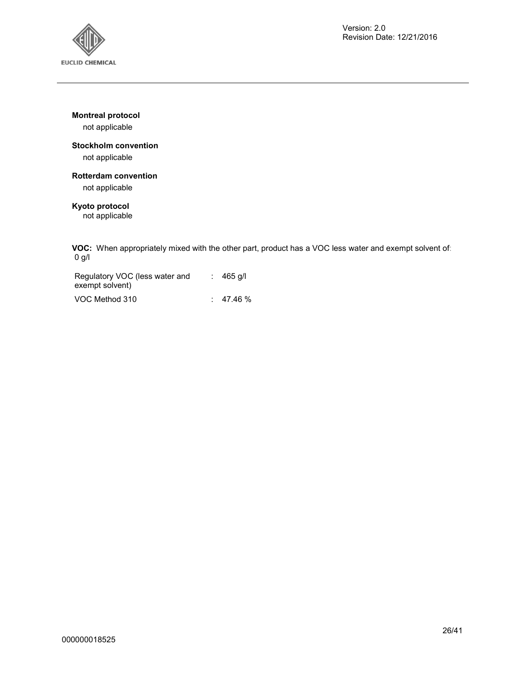

**Montreal protocol** 

not applicable

## **Stockholm convention**

not applicable

## **Rotterdam convention**

not applicable

## **Kyoto protocol**

not applicable

**VOC:** When appropriately mixed with the other part, product has a VOC less water and exempt solvent of: 0 g/l

| Regulatory VOC (less water and<br>exempt solvent) | $: 465$ q/l |
|---------------------------------------------------|-------------|
| VOC Method 310                                    | 47.46 %     |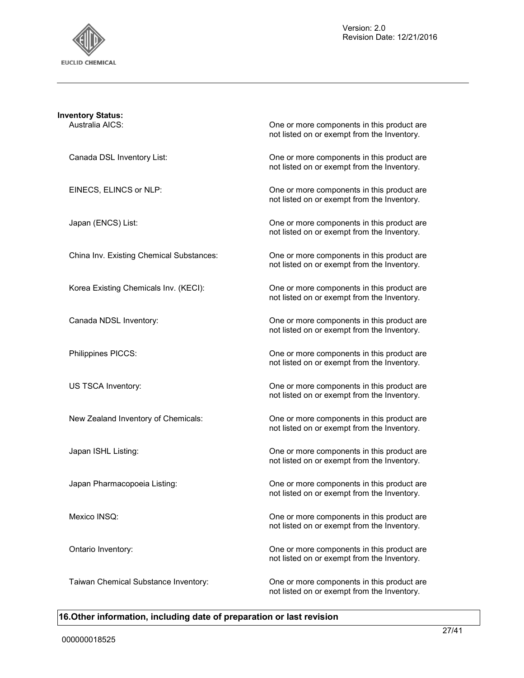

| <b>Inventory Status:</b><br>Australia AICS: | One or more components in this product are                                                |
|---------------------------------------------|-------------------------------------------------------------------------------------------|
|                                             | not listed on or exempt from the Inventory.                                               |
| Canada DSL Inventory List:                  | One or more components in this product are<br>not listed on or exempt from the Inventory. |
| EINECS, ELINCS or NLP:                      | One or more components in this product are<br>not listed on or exempt from the Inventory. |
| Japan (ENCS) List:                          | One or more components in this product are<br>not listed on or exempt from the Inventory. |
| China Inv. Existing Chemical Substances:    | One or more components in this product are<br>not listed on or exempt from the Inventory. |
| Korea Existing Chemicals Inv. (KECI):       | One or more components in this product are<br>not listed on or exempt from the Inventory. |
| Canada NDSL Inventory:                      | One or more components in this product are<br>not listed on or exempt from the Inventory. |
| Philippines PICCS:                          | One or more components in this product are<br>not listed on or exempt from the Inventory. |
| US TSCA Inventory:                          | One or more components in this product are<br>not listed on or exempt from the Inventory. |
| New Zealand Inventory of Chemicals:         | One or more components in this product are<br>not listed on or exempt from the Inventory. |
| Japan ISHL Listing:                         | One or more components in this product are<br>not listed on or exempt from the Inventory. |
| Japan Pharmacopoeia Listing:                | One or more components in this product are<br>not listed on or exempt from the Inventory. |
| Mexico INSQ:                                | One or more components in this product are<br>not listed on or exempt from the Inventory. |
| Ontario Inventory:                          | One or more components in this product are<br>not listed on or exempt from the Inventory. |
| Taiwan Chemical Substance Inventory:        | One or more components in this product are<br>not listed on or exempt from the Inventory. |

## **16.Other information, including date of preparation or last revision**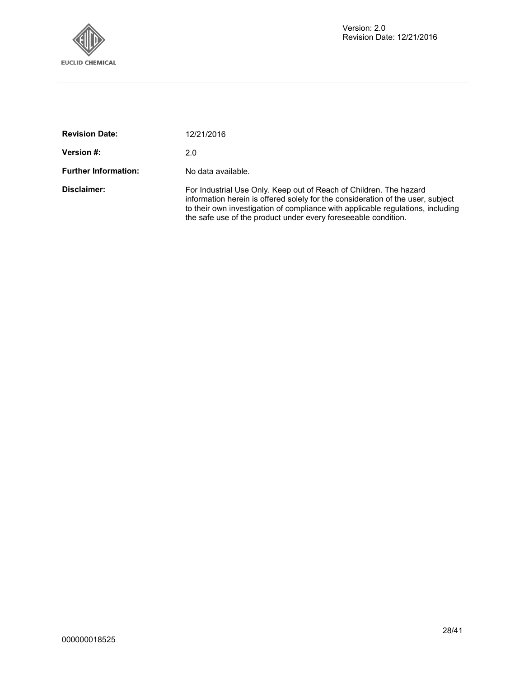

| <b>Revision Date:</b>       | 12/21/2016                                                                                                                                                                                                                                                                                                  |
|-----------------------------|-------------------------------------------------------------------------------------------------------------------------------------------------------------------------------------------------------------------------------------------------------------------------------------------------------------|
| Version #:                  | 2.0                                                                                                                                                                                                                                                                                                         |
| <b>Further Information:</b> | No data available.                                                                                                                                                                                                                                                                                          |
| Disclaimer:                 | For Industrial Use Only. Keep out of Reach of Children. The hazard<br>information herein is offered solely for the consideration of the user, subject<br>to their own investigation of compliance with applicable regulations, including<br>the safe use of the product under every fore seeable condition. |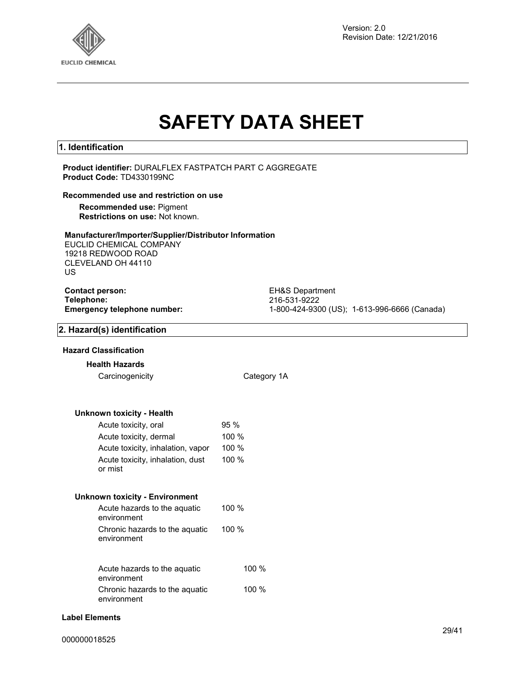

Version: 2.0 Revision Date: 12/21/2016

# **SAFETY DATA SHEET**

## **1. Identification**

## **Product identifier:** DURALFLEX FASTPATCH PART C AGGREGATE **Product Code:** TD4330199NC

#### **Recommended use and restriction on use**

**Recommended use:** Pigment **Restrictions on use:** Not known.

## **Manufacturer/Importer/Supplier/Distributor Information**

EUCLID CHEMICAL COMPANY 19218 REDWOOD ROAD CLEVELAND OH 44110 US

## **Contact person:** EH&S Department **Telephone:** 216-531-9222

**Emergency telephone number:** 1-800-424-9300 (US); 1-613-996-6666 (Canada)

## **2. Hazard(s) identification**

## **Hazard Classification**

## **Health Hazards**

Carcinogenicity Category 1A

## **Unknown toxicity - Health**

| Acute toxicity, oral                        | 95%   |
|---------------------------------------------|-------|
| Acute toxicity, dermal                      | 100 % |
| Acute toxicity, inhalation, vapor           | 100 % |
| Acute toxicity, inhalation, dust<br>or mist | 100 % |

## **Unknown toxicity - Environment**

| Acute hazards to the aquatic                  | 100 %    |
|-----------------------------------------------|----------|
| environment                                   |          |
| Chronic hazards to the aquatic<br>environment | $100 \%$ |

| Acute hazards to the aquatic                  | 100%    |
|-----------------------------------------------|---------|
| environment<br>Chronic hazards to the aguatic | 100 $%$ |
| environment                                   |         |

## **Label Elements**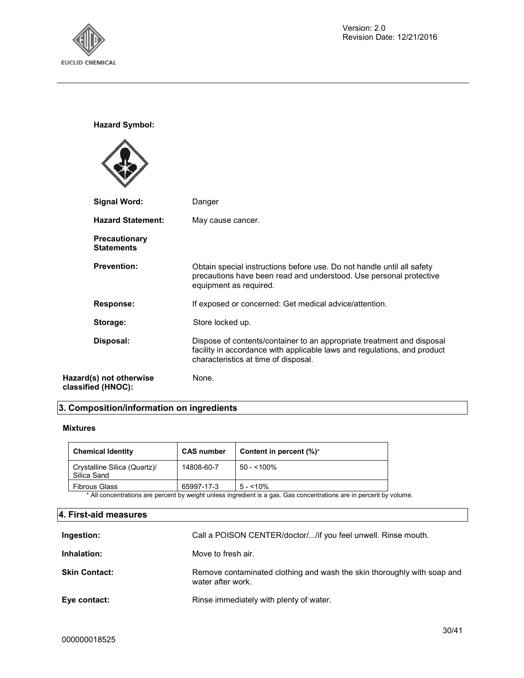

**Hazard Symbol:**

| <b>Signal Word:</b>                           | Danger                                                                                                                                                                                     |
|-----------------------------------------------|--------------------------------------------------------------------------------------------------------------------------------------------------------------------------------------------|
| <b>Hazard Statement:</b>                      | May cause cancer.                                                                                                                                                                          |
| <b>Precautionary</b><br><b>Statements</b>     |                                                                                                                                                                                            |
| <b>Prevention:</b>                            | Obtain special instructions before use. Do not handle until all safety<br>precautions have been read and understood. Use personal protective<br>equipment as required.                     |
| <b>Response:</b>                              | If exposed or concerned: Get medical advice/attention.                                                                                                                                     |
| Storage:                                      | Store locked up.                                                                                                                                                                           |
| Disposal:                                     | Dispose of contents/container to an appropriate treatment and disposal<br>facility in accordance with applicable laws and regulations, and product<br>characteristics at time of disposal. |
| Hazard(s) not otherwise<br>classified (HNOC): | None.                                                                                                                                                                                      |

## **3. Composition/information on ingredients**

## **Mixtures**

| Content in percent $(\%)^*$                                                                                                                                                                                                             |
|-----------------------------------------------------------------------------------------------------------------------------------------------------------------------------------------------------------------------------------------|
| $50 - 100\%$                                                                                                                                                                                                                            |
| $5 - 10\%$                                                                                                                                                                                                                              |
| $\bullet$ All and the second and the second state of the second $\bullet$ . The second state of the second state of the second state of the second state of the second state of the second state of the second state of the second stat |

\* All concentrations are percent by weight unless ingredient is a gas. Gas concentrations are in percent by volume.

## **4. First-aid measures**

| Ingestion:           | Call a POISON CENTER/doctor//if you feel unwell. Rinse mouth.                                |
|----------------------|----------------------------------------------------------------------------------------------|
| Inhalation:          | Move to fresh air.                                                                           |
| <b>Skin Contact:</b> | Remove contaminated clothing and wash the skin thoroughly with soap and<br>water after work. |
| Eye contact:         | Rinse immediately with plenty of water.                                                      |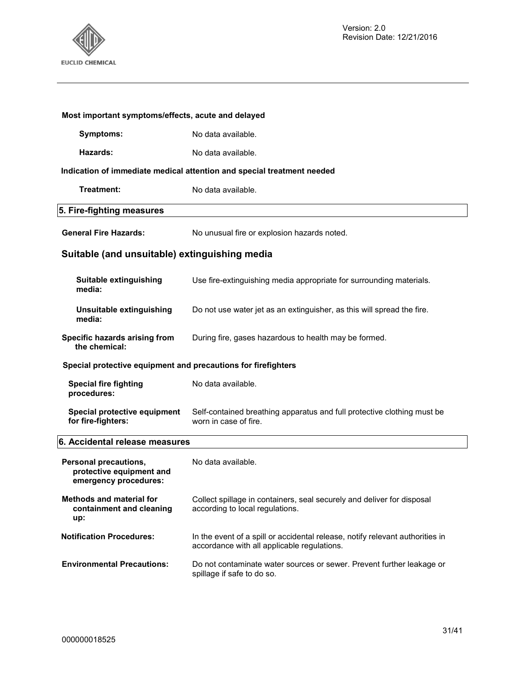

| Most important symptoms/effects, acute and delayed                         |                                                                                                                              |  |
|----------------------------------------------------------------------------|------------------------------------------------------------------------------------------------------------------------------|--|
| <b>Symptoms:</b>                                                           | No data available.                                                                                                           |  |
| Hazards:                                                                   | No data available.                                                                                                           |  |
|                                                                            | Indication of immediate medical attention and special treatment needed                                                       |  |
| Treatment:                                                                 | No data available.                                                                                                           |  |
| 5. Fire-fighting measures                                                  |                                                                                                                              |  |
| <b>General Fire Hazards:</b>                                               | No unusual fire or explosion hazards noted.                                                                                  |  |
| Suitable (and unsuitable) extinguishing media                              |                                                                                                                              |  |
| Suitable extinguishing<br>media:                                           | Use fire-extinguishing media appropriate for surrounding materials.                                                          |  |
| Unsuitable extinguishing<br>media:                                         | Do not use water jet as an extinguisher, as this will spread the fire.                                                       |  |
| Specific hazards arising from<br>the chemical:                             | During fire, gases hazardous to health may be formed.                                                                        |  |
| Special protective equipment and precautions for firefighters              |                                                                                                                              |  |
| <b>Special fire fighting</b><br>procedures:                                | No data available.                                                                                                           |  |
| Special protective equipment<br>for fire-fighters:                         | Self-contained breathing apparatus and full protective clothing must be<br>worn in case of fire.                             |  |
| 6. Accidental release measures                                             |                                                                                                                              |  |
| Personal precautions,<br>protective equipment and<br>emergency procedures: | No data available.                                                                                                           |  |
| <b>Methods and material for</b><br>containment and cleaning<br>up:         | Collect spillage in containers, seal securely and deliver for disposal<br>according to local regulations.                    |  |
| <b>Notification Procedures:</b>                                            | In the event of a spill or accidental release, notify relevant authorities in<br>accordance with all applicable regulations. |  |
| <b>Environmental Precautions:</b>                                          | Do not contaminate water sources or sewer. Prevent further leakage or<br>spillage if safe to do so.                          |  |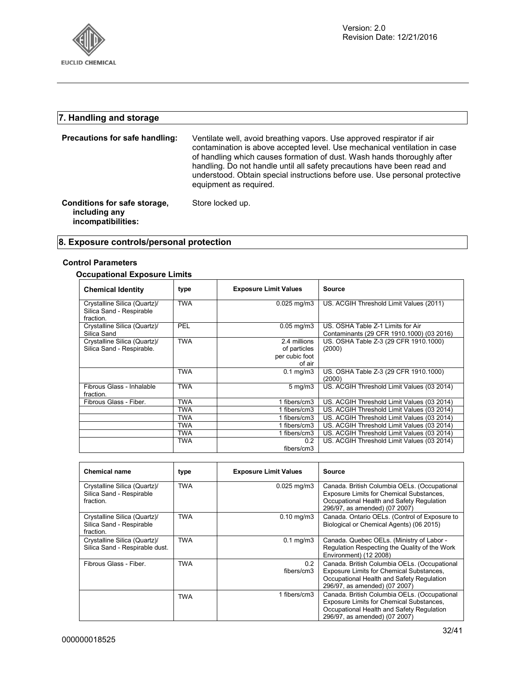

## **7. Handling and storage**

| Precautions for safe handling:                                      | Ventilate well, avoid breathing vapors. Use approved respirator if air<br>contamination is above accepted level. Use mechanical ventilation in case<br>of handling which causes formation of dust. Wash hands thoroughly after<br>handling. Do not handle until all safety precautions have been read and<br>understood. Obtain special instructions before use. Use personal protective<br>equipment as required. |
|---------------------------------------------------------------------|--------------------------------------------------------------------------------------------------------------------------------------------------------------------------------------------------------------------------------------------------------------------------------------------------------------------------------------------------------------------------------------------------------------------|
| Conditions for safe storage,<br>including any<br>incompatibilities: | Store locked up.                                                                                                                                                                                                                                                                                                                                                                                                   |

## **8. Exposure controls/personal protection**

## **Control Parameters**

## **Occupational Exposure Limits**

| <b>Chemical Identity</b>                                              | type       | <b>Exposure Limit Values</b>                             | <b>Source</b>                                                                  |
|-----------------------------------------------------------------------|------------|----------------------------------------------------------|--------------------------------------------------------------------------------|
| Crystalline Silica (Quartz)/<br>Silica Sand - Respirable<br>fraction. | <b>TWA</b> | 0.025 mg/m3                                              | US. ACGIH Threshold Limit Values (2011)                                        |
| Crystalline Silica (Quartz)/<br>Silica Sand                           | PEL        | $0.05$ mg/m $3$                                          | US. OSHA Table Z-1 Limits for Air<br>Contaminants (29 CFR 1910.1000) (03 2016) |
| Crystalline Silica (Quartz)/<br>Silica Sand - Respirable.             | <b>TWA</b> | 2.4 millions<br>of particles<br>per cubic foot<br>of air | US. OSHA Table Z-3 (29 CFR 1910.1000)<br>(2000)                                |
|                                                                       | TWA        | $0.1 \text{ mg/m}$ 3                                     | US. OSHA Table Z-3 (29 CFR 1910.1000)<br>(2000)                                |
| Fibrous Glass - Inhalable<br>fraction.                                | <b>TWA</b> | $5 \text{ mg/m}$                                         | US. ACGIH Threshold Limit Values (03 2014)                                     |
| Fibrous Glass - Fiber.                                                | TWA        | 1 fibers/cm3                                             | US. ACGIH Threshold Limit Values (03 2014)                                     |
|                                                                       | <b>TWA</b> | 1 fibers/cm3                                             | US. ACGIH Threshold Limit Values (03 2014)                                     |
|                                                                       | TWA        | 1 fibers/cm3                                             | US. ACGIH Threshold Limit Values (03 2014)                                     |
|                                                                       | TWA        | 1 fibers/cm3                                             | US. ACGIH Threshold Limit Values (03 2014)                                     |
|                                                                       | <b>TWA</b> | 1 fibers/cm3                                             | US. ACGIH Threshold Limit Values (03 2014)                                     |
|                                                                       | <b>TWA</b> | 0.2<br>fibers/cm3                                        | US. ACGIH Threshold Limit Values (03 2014)                                     |

| <b>Chemical name</b>                                                  | type       | <b>Exposure Limit Values</b> | Source                                                                                                                                                                 |
|-----------------------------------------------------------------------|------------|------------------------------|------------------------------------------------------------------------------------------------------------------------------------------------------------------------|
| Crystalline Silica (Quartz)/<br>Silica Sand - Respirable<br>fraction. | <b>TWA</b> | $0.025$ mg/m $3$             | Canada. British Columbia OELs. (Occupational<br>Exposure Limits for Chemical Substances,<br>Occupational Health and Safety Regulation<br>296/97, as amended) (07 2007) |
| Crystalline Silica (Quartz)/<br>Silica Sand - Respirable<br>fraction. | <b>TWA</b> | $0.10$ mg/m $3$              | Canada. Ontario OELs. (Control of Exposure to<br>Biological or Chemical Agents) (06 2015)                                                                              |
| Crystalline Silica (Quartz)/<br>Silica Sand - Respirable dust.        | <b>TWA</b> | $0.1 \text{ mg/m}$           | Canada. Quebec OELs. (Ministry of Labor -<br>Regulation Respecting the Quality of the Work<br>Environment) (12 2008)                                                   |
| Fibrous Glass - Fiber.                                                | <b>TWA</b> | 0.2<br>fibers/cm3            | Canada. British Columbia OELs. (Occupational<br>Exposure Limits for Chemical Substances,<br>Occupational Health and Safety Regulation<br>296/97, as amended) (07 2007) |
|                                                                       | <b>TWA</b> | 1 fibers/cm3                 | Canada. British Columbia OELs. (Occupational<br>Exposure Limits for Chemical Substances.<br>Occupational Health and Safety Regulation<br>296/97, as amended) (07 2007) |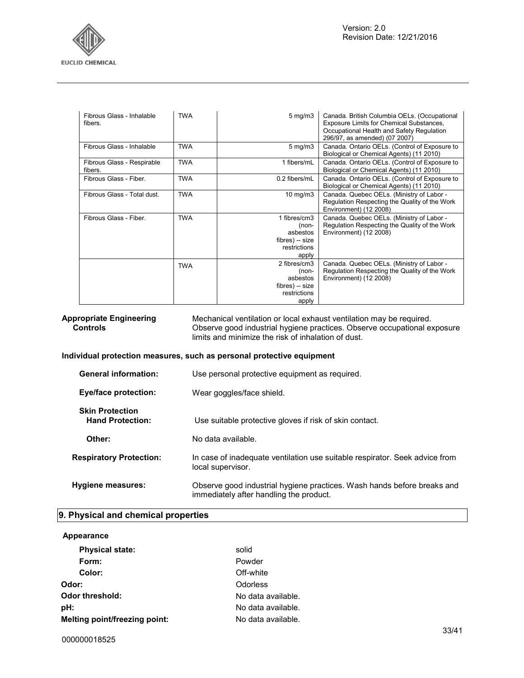

| Fibrous Glass - Inhalable<br>fibers.  | <b>TWA</b> | $5 \text{ mg/m}$                                                              | Canada. British Columbia OELs. (Occupational<br>Exposure Limits for Chemical Substances,<br>Occupational Health and Safety Regulation<br>296/97, as amended) (07 2007) |
|---------------------------------------|------------|-------------------------------------------------------------------------------|------------------------------------------------------------------------------------------------------------------------------------------------------------------------|
| Fibrous Glass - Inhalable             | <b>TWA</b> | $5 \text{ mg/m}$                                                              | Canada. Ontario OELs. (Control of Exposure to<br>Biological or Chemical Agents) (11 2010)                                                                              |
| Fibrous Glass - Respirable<br>fibers. | <b>TWA</b> | 1 fibers/mL                                                                   | Canada. Ontario OELs. (Control of Exposure to<br>Biological or Chemical Agents) (11 2010)                                                                              |
| Fibrous Glass - Fiber.                | <b>TWA</b> | 0.2 fibers/mL                                                                 | Canada. Ontario OELs. (Control of Exposure to<br>Biological or Chemical Agents) (11 2010)                                                                              |
| Fibrous Glass - Total dust.           | <b>TWA</b> | 10 mg/m $3$                                                                   | Canada. Quebec OELs. (Ministry of Labor -<br>Regulation Respecting the Quality of the Work<br>Environment) (12 2008)                                                   |
| Fibrous Glass - Fiber.                | <b>TWA</b> | 1 fibres/cm3<br>(non-<br>asbestos<br>fibres) -- size<br>restrictions<br>apply | Canada. Quebec OELs. (Ministry of Labor -<br>Regulation Respecting the Quality of the Work<br>Environment) (12 2008)                                                   |
|                                       | <b>TWA</b> | 2 fibres/cm3<br>(non-<br>asbestos<br>fibres) -- size<br>restrictions<br>apply | Canada. Quebec OELs. (Ministry of Labor -<br>Regulation Respecting the Quality of the Work<br>Environment) (12 2008)                                                   |

**Appropriate Engineering Controls**  Mechanical ventilation or local exhaust ventilation may be required. Observe good industrial hygiene practices. Observe occupational exposure limits and minimize the risk of inhalation of dust.

**Individual protection measures, such as personal protective equipment**

| <b>General information:</b>                       | Use personal protective equipment as required.                                                                     |
|---------------------------------------------------|--------------------------------------------------------------------------------------------------------------------|
| <b>Eye/face protection:</b>                       | Wear goggles/face shield.                                                                                          |
| <b>Skin Protection</b><br><b>Hand Protection:</b> | Use suitable protective gloves if risk of skin contact.                                                            |
| Other:                                            | No data available.                                                                                                 |
| <b>Respiratory Protection:</b>                    | In case of inadequate ventilation use suitable respirator. Seek advice from<br>local supervisor.                   |
| <b>Hygiene measures:</b>                          | Observe good industrial hygiene practices. Wash hands before breaks and<br>immediately after handling the product. |

## **9. Physical and chemical properties**

| Appearance                    |                    |
|-------------------------------|--------------------|
| <b>Physical state:</b>        | solid              |
| Form:                         | Powder             |
| Color:                        | Off-white          |
| Odor:                         | Odorless           |
| Odor threshold:               | No data available. |
| pH:                           | No data available. |
| Melting point/freezing point: | No data available. |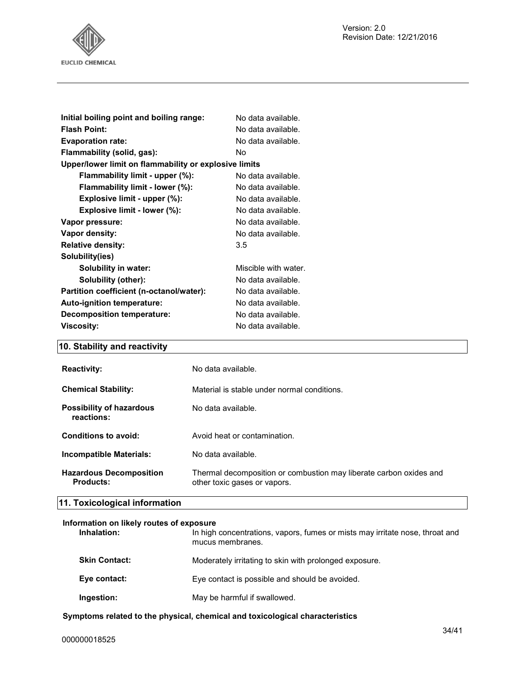

| Initial boiling point and boiling range:              | No data available.   |
|-------------------------------------------------------|----------------------|
| <b>Flash Point:</b>                                   | No data available.   |
| <b>Evaporation rate:</b>                              | No data available.   |
| Flammability (solid, gas):                            | No                   |
| Upper/lower limit on flammability or explosive limits |                      |
| Flammability limit - upper (%):                       | No data available.   |
| Flammability limit - lower (%):                       | No data available.   |
| Explosive limit - upper (%):                          | No data available.   |
| Explosive limit - lower (%):                          | No data available.   |
| Vapor pressure:                                       | No data available.   |
| Vapor density:                                        | No data available.   |
| <b>Relative density:</b>                              | 3.5                  |
| Solubility(ies)                                       |                      |
| Solubility in water:                                  | Miscible with water. |
| Solubility (other):                                   | No data available.   |
| Partition coefficient (n-octanol/water):              | No data available.   |
| <b>Auto-ignition temperature:</b>                     | No data available.   |
| Decomposition temperature:                            | No data available.   |
| <b>Viscosity:</b>                                     | No data available.   |
|                                                       |                      |

## **10. Stability and reactivity**

| <b>Reactivity:</b>                          | No data available.                                                                                 |
|---------------------------------------------|----------------------------------------------------------------------------------------------------|
| <b>Chemical Stability:</b>                  | Material is stable under normal conditions.                                                        |
| Possibility of hazardous<br>reactions:      | No data available.                                                                                 |
| Conditions to avoid:                        | Avoid heat or contamination.                                                                       |
| <b>Incompatible Materials:</b>              | No data available.                                                                                 |
| <b>Hazardous Decomposition</b><br>Products: | Thermal decomposition or combustion may liberate carbon oxides and<br>other toxic gases or vapors. |

## **11. Toxicological information**

## **Information on likely routes of exposure**

| Inhalation:          | In high concentrations, vapors, fumes or mists may irritate nose, throat and<br>mucus membranes. |
|----------------------|--------------------------------------------------------------------------------------------------|
| <b>Skin Contact:</b> | Moderately irritating to skin with prolonged exposure.                                           |
| Eye contact:         | Eye contact is possible and should be avoided.                                                   |
| Ingestion:           | May be harmful if swallowed.                                                                     |

## **Symptoms related to the physical, chemical and toxicological characteristics**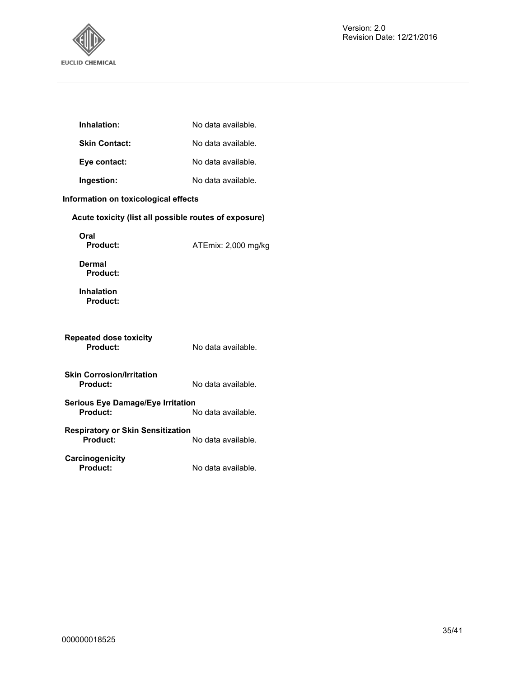

| Inhalation:                                           | No data available.  |
|-------------------------------------------------------|---------------------|
| <b>Skin Contact:</b>                                  | No data available.  |
| Eye contact:                                          | No data available.  |
| Ingestion:                                            | No data available.  |
| Information on toxicological effects                  |                     |
| Acute toxicity (list all possible routes of exposure) |                     |
| Oral<br><b>Product:</b>                               | ATEmix: 2,000 mg/kg |
| Dermal<br>Product:                                    |                     |
| <b>Inhalation</b><br>Product:                         |                     |
| <b>Repeated dose toxicity</b><br>Product:             | No data available.  |
| <b>Skin Corrosion/Irritation</b><br>Product:          | No data available.  |
| <b>Serious Eye Damage/Eye Irritation</b><br>Product:  | No data available.  |
| <b>Respiratory or Skin Sensitization</b><br>Product:  | No data available.  |
| Carcinogenicity<br>Product:                           | No data available.  |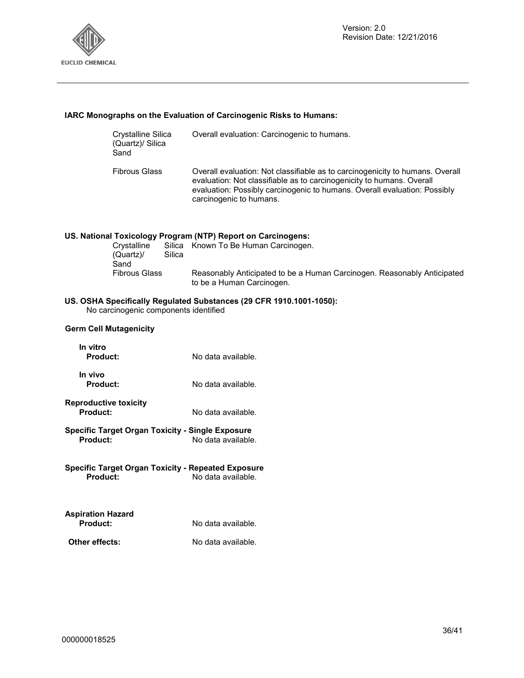

## **IARC Monographs on the Evaluation of Carcinogenic Risks to Humans:**

| Crystalline Silica<br>(Quartz)/ Silica<br>Sand | Overall evaluation: Carcinogenic to humans.                                                                                                                                                                                                                    |
|------------------------------------------------|----------------------------------------------------------------------------------------------------------------------------------------------------------------------------------------------------------------------------------------------------------------|
| <b>Fibrous Glass</b>                           | Overall evaluation: Not classifiable as to carcinogenicity to humans. Overall<br>evaluation: Not classifiable as to carcinogenicity to humans. Overall<br>evaluation: Possibly carcinogenic to humans. Overall evaluation: Possibly<br>carcinogenic to humans. |
|                                                | US. National Toxicology Program (NTP) Report on Carcinogens:<br>Crystalling Silica Known To Be Human Carcinogen                                                                                                                                                |

| Crystalline          |        | Silica Known To Be Human Carcinogen.                                                                 |
|----------------------|--------|------------------------------------------------------------------------------------------------------|
| (Quartz)/            | Silica |                                                                                                      |
| Sand                 |        |                                                                                                      |
| <b>Fibrous Glass</b> |        | Reasonably Anticipated to be a Human Carcinogen. Reasonably Anticipated<br>to be a Human Carcinogen. |

## **US. OSHA Specifically Regulated Substances (29 CFR 1910.1001-1050):**

No carcinogenic components identified

#### **Germ Cell Mutagenicity**

| In vitro<br>Product:       | No data available. |
|----------------------------|--------------------|
| In vivo<br><b>Product:</b> | No data available. |

- **Reproductive toxicity**
- No data available.
- **Specific Target Organ Toxicity Single Exposure Product:** No data available.
- **Specific Target Organ Toxicity Repeated Exposure Product:** No data available.

| <b>Aspiration Hazard</b> |                    |
|--------------------------|--------------------|
| <b>Product:</b>          | No data available. |
| Other effects:           | No data available. |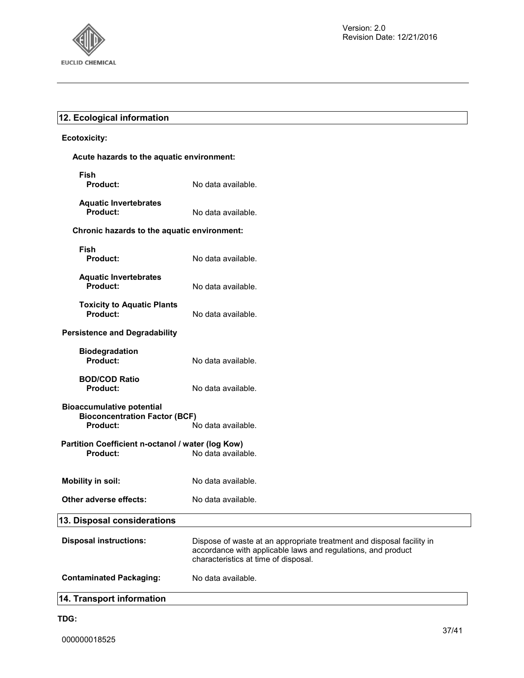

## **12. Ecological information**

## **Ecotoxicity:**

## **Acute hazards to the aquatic environment:**

| Fish<br><b>Product:</b>                                                                     | No data available.                                                                                                                                                            |  |
|---------------------------------------------------------------------------------------------|-------------------------------------------------------------------------------------------------------------------------------------------------------------------------------|--|
| <b>Aquatic Invertebrates</b><br>Product:                                                    | No data available.                                                                                                                                                            |  |
| Chronic hazards to the aquatic environment:                                                 |                                                                                                                                                                               |  |
| Fish<br><b>Product:</b>                                                                     | No data available.                                                                                                                                                            |  |
| <b>Aquatic Invertebrates</b><br>Product:                                                    | No data available.                                                                                                                                                            |  |
| <b>Toxicity to Aquatic Plants</b><br><b>Product:</b>                                        | No data available.                                                                                                                                                            |  |
| <b>Persistence and Degradability</b>                                                        |                                                                                                                                                                               |  |
| <b>Biodegradation</b><br>Product:                                                           | No data available.                                                                                                                                                            |  |
| <b>BOD/COD Ratio</b><br><b>Product:</b>                                                     | No data available.                                                                                                                                                            |  |
| <b>Bioaccumulative potential</b><br><b>Bioconcentration Factor (BCF)</b><br><b>Product:</b> |                                                                                                                                                                               |  |
| No data available.<br>Partition Coefficient n-octanol / water (log Kow)                     |                                                                                                                                                                               |  |
| Product:                                                                                    | No data available.                                                                                                                                                            |  |
| <b>Mobility in soil:</b>                                                                    | No data available.                                                                                                                                                            |  |
| Other adverse effects:                                                                      | No data available.                                                                                                                                                            |  |
| 13. Disposal considerations                                                                 |                                                                                                                                                                               |  |
| <b>Disposal instructions:</b>                                                               | Dispose of waste at an appropriate treatment and disposal facility in<br>accordance with applicable laws and regulations, and product<br>characteristics at time of disposal. |  |
| <b>Contaminated Packaging:</b>                                                              | No data available.                                                                                                                                                            |  |

## **14. Transport information**

## **TDG:**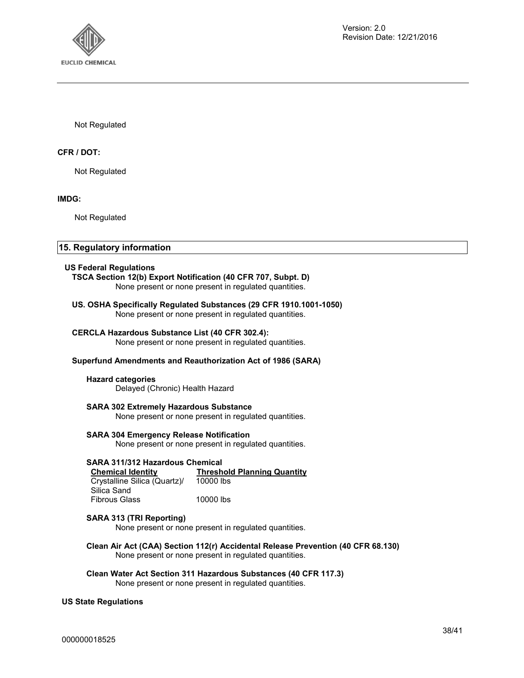

Not Regulated

## **CFR / DOT:**

Not Regulated

**IMDG:** 

Not Regulated

## **15. Regulatory information**

#### **US Federal Regulations**

**TSCA Section 12(b) Export Notification (40 CFR 707, Subpt. D)**  None present or none present in regulated quantities.

## **US. OSHA Specifically Regulated Substances (29 CFR 1910.1001-1050)**

None present or none present in regulated quantities.

## **CERCLA Hazardous Substance List (40 CFR 302.4):**

None present or none present in regulated quantities.

## **Superfund Amendments and Reauthorization Act of 1986 (SARA)**

## **Hazard categories**

Delayed (Chronic) Health Hazard

## **SARA 302 Extremely Hazardous Substance**

None present or none present in regulated quantities.

## **SARA 304 Emergency Release Notification**

None present or none present in regulated quantities.

## **SARA 311/312 Hazardous Chemical**

| <b>Chemical Identity</b>     | <b>Threshold Planning Quantity</b> |
|------------------------------|------------------------------------|
| Crystalline Silica (Quartz)/ | 10000 lbs                          |
| Silica Sand                  |                                    |
| <b>Fibrous Glass</b>         | 10000 lbs                          |

## **SARA 313 (TRI Reporting)**

None present or none present in regulated quantities.

**Clean Air Act (CAA) Section 112(r) Accidental Release Prevention (40 CFR 68.130)**  None present or none present in regulated quantities.

**Clean Water Act Section 311 Hazardous Substances (40 CFR 117.3)**  None present or none present in regulated quantities.

## **US State Regulations**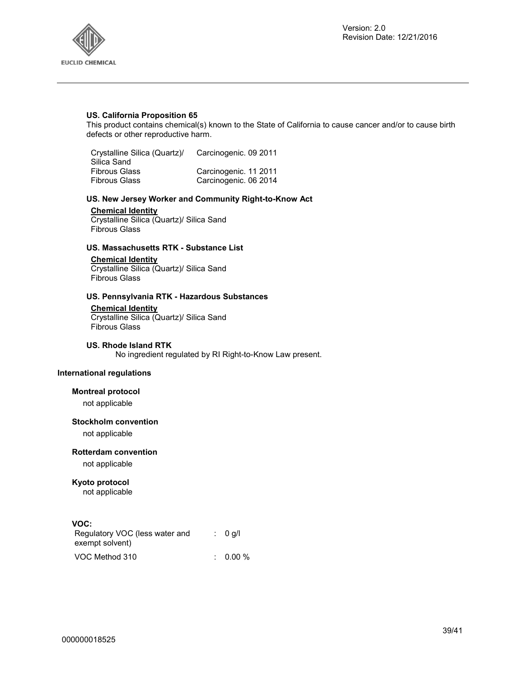

## **US. California Proposition 65**

This product contains chemical(s) known to the State of California to cause cancer and/or to cause birth defects or other reproductive harm.

| Crystalline Silica (Quartz)/ | Carcinogenic. 09 2011 |
|------------------------------|-----------------------|
| Silica Sand                  |                       |
| <b>Fibrous Glass</b>         | Carcinogenic. 11 2011 |
| <b>Fibrous Glass</b>         | Carcinogenic. 06 2014 |

## **US. New Jersey Worker and Community Right-to-Know Act**

## **Chemical Identity**

Crystalline Silica (Quartz)/ Silica Sand Fibrous Glass

## **US. Massachusetts RTK - Substance List**

## **Chemical Identity**

Crystalline Silica (Quartz)/ Silica Sand Fibrous Glass

## **US. Pennsylvania RTK - Hazardous Substances**

## **Chemical Identity**

Crystalline Silica (Quartz)/ Silica Sand Fibrous Glass

#### **US. Rhode Island RTK**

No ingredient regulated by RI Right-to-Know Law present.

## **International regulations**

## **Montreal protocol**

not applicable

#### **Stockholm convention**

not applicable

## **Rotterdam convention**

not applicable

## **Kyoto protocol**

not applicable

## **VOC:**

| Regulatory VOC (less water and<br>exempt solvent) | : 0 q/l  |
|---------------------------------------------------|----------|
| VOC Method 310                                    | $0.00\%$ |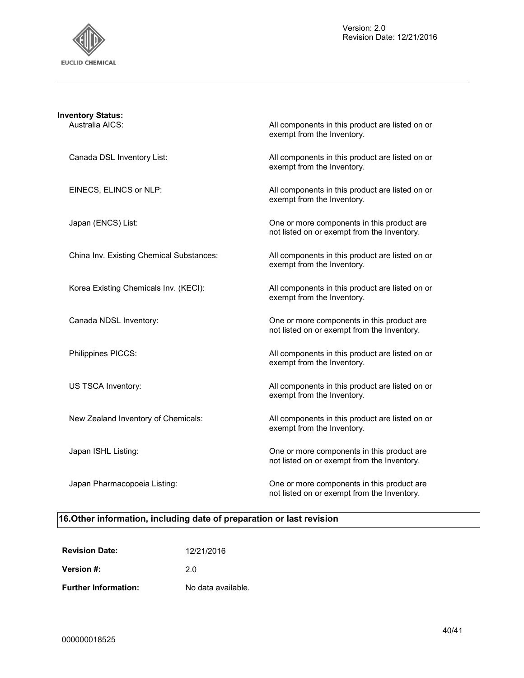

| <b>Inventory Status:</b><br>Australia AICS: | All components in this product are listed on or<br>exempt from the Inventory.             |
|---------------------------------------------|-------------------------------------------------------------------------------------------|
| Canada DSL Inventory List:                  | All components in this product are listed on or<br>exempt from the Inventory.             |
| EINECS, ELINCS or NLP:                      | All components in this product are listed on or<br>exempt from the Inventory.             |
| Japan (ENCS) List:                          | One or more components in this product are<br>not listed on or exempt from the Inventory. |
| China Inv. Existing Chemical Substances:    | All components in this product are listed on or<br>exempt from the Inventory.             |
| Korea Existing Chemicals Inv. (KECI):       | All components in this product are listed on or<br>exempt from the Inventory.             |
| Canada NDSL Inventory:                      | One or more components in this product are<br>not listed on or exempt from the Inventory. |
| Philippines PICCS:                          | All components in this product are listed on or<br>exempt from the Inventory.             |
| US TSCA Inventory:                          | All components in this product are listed on or<br>exempt from the Inventory.             |
| New Zealand Inventory of Chemicals:         | All components in this product are listed on or<br>exempt from the Inventory.             |
| Japan ISHL Listing:                         | One or more components in this product are<br>not listed on or exempt from the Inventory. |
| Japan Pharmacopoeia Listing:                | One or more components in this product are<br>not listed on or exempt from the Inventory. |

## **16.Other information, including date of preparation or last revision**

| <b>Revision Date:</b>       | 12/21/2016         |
|-----------------------------|--------------------|
| Version #:                  | 20                 |
| <b>Further Information:</b> | No data available. |